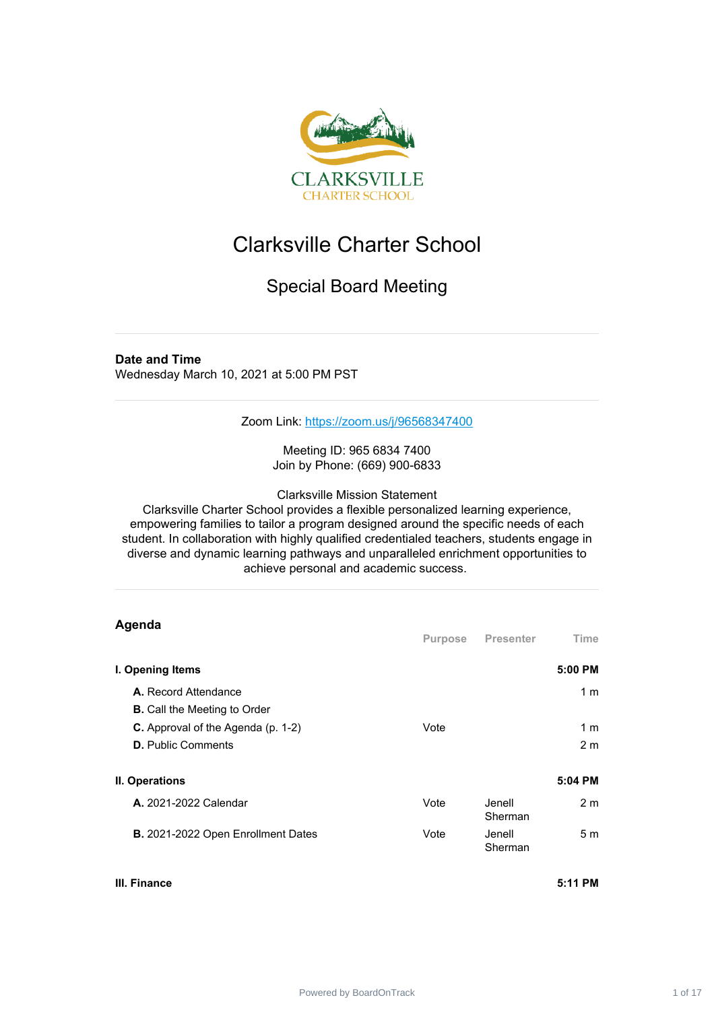

## Clarksville Charter School

## Special Board Meeting

## **Date and Time**

Wednesday March 10, 2021 at 5:00 PM PST

Zoom Link: <https://zoom.us/j/96568347400>

Meeting ID: 965 6834 7400 Join by Phone: (669) 900-6833

Clarksville Mission Statement

Clarksville Charter School provides a flexible personalized learning experience, empowering families to tailor a program designed around the specific needs of each student. In collaboration with highly qualified credentialed teachers, students engage in diverse and dynamic learning pathways and unparalleled enrichment opportunities to achieve personal and academic success.

| Agenda                                                                 | Purpose | <b>Presenter</b>   | Time                  |
|------------------------------------------------------------------------|---------|--------------------|-----------------------|
| I. Opening Items                                                       |         |                    | 5:00 PM               |
| A. Record Attendance<br><b>B.</b> Call the Meeting to Order            |         |                    | 1 <sub>m</sub>        |
| <b>C.</b> Approval of the Agenda (p. 1-2)<br><b>D.</b> Public Comments | Vote    |                    | 1 m<br>2 <sub>m</sub> |
| II. Operations                                                         |         |                    | 5:04 PM               |
| <b>A.</b> 2021-2022 Calendar                                           | Vote    | Jenell.<br>Sherman | 2 <sub>m</sub>        |
| B. 2021-2022 Open Enrollment Dates                                     | Vote    | Jenell<br>Sherman  | 5 <sub>m</sub>        |

## **III. Finance 5:11 PM**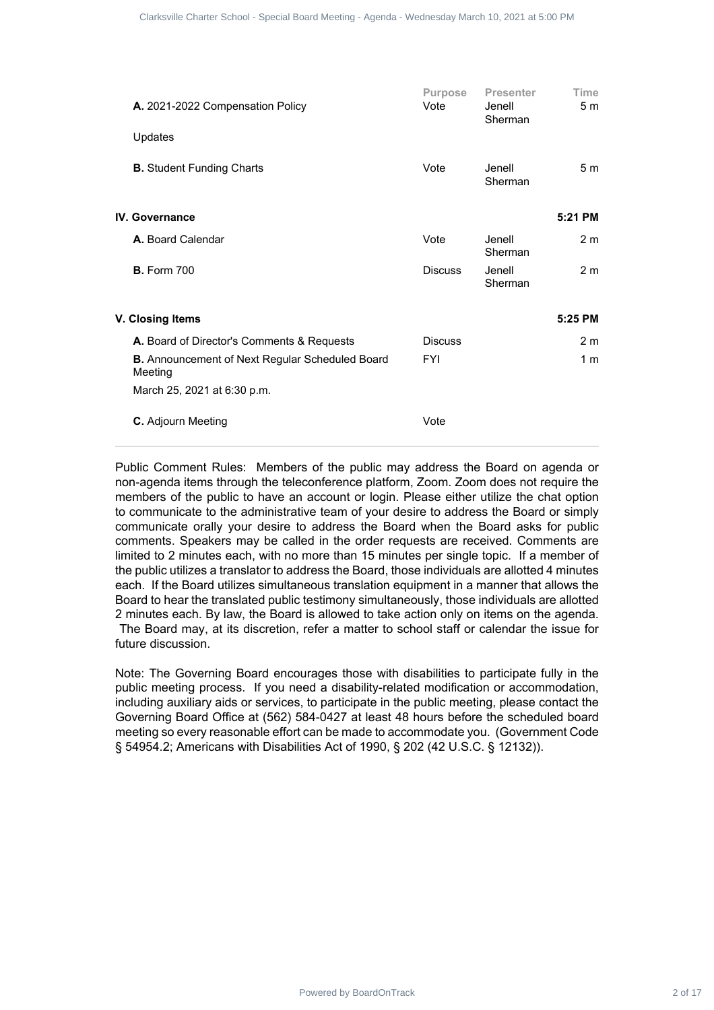| A. 2021-2022 Compensation Policy                                                                                                                                                                                                                                                                                                                                                                                                                                                                                                                                                                                                                                                                                                                                                                                                                                                                                                                                                                                                                                                                                                                                      | Purpose<br>Vote | <b>Presenter</b><br>Jenell<br>Sherman                                                   | Time<br>5 <sub>m</sub> |  |
|-----------------------------------------------------------------------------------------------------------------------------------------------------------------------------------------------------------------------------------------------------------------------------------------------------------------------------------------------------------------------------------------------------------------------------------------------------------------------------------------------------------------------------------------------------------------------------------------------------------------------------------------------------------------------------------------------------------------------------------------------------------------------------------------------------------------------------------------------------------------------------------------------------------------------------------------------------------------------------------------------------------------------------------------------------------------------------------------------------------------------------------------------------------------------|-----------------|-----------------------------------------------------------------------------------------|------------------------|--|
| Updates                                                                                                                                                                                                                                                                                                                                                                                                                                                                                                                                                                                                                                                                                                                                                                                                                                                                                                                                                                                                                                                                                                                                                               |                 |                                                                                         |                        |  |
| <b>B.</b> Student Funding Charts                                                                                                                                                                                                                                                                                                                                                                                                                                                                                                                                                                                                                                                                                                                                                                                                                                                                                                                                                                                                                                                                                                                                      | Vote            | Jenell<br>Sherman                                                                       | 5 <sub>m</sub>         |  |
| <b>IV.</b> Governance                                                                                                                                                                                                                                                                                                                                                                                                                                                                                                                                                                                                                                                                                                                                                                                                                                                                                                                                                                                                                                                                                                                                                 |                 |                                                                                         | 5:21 PM                |  |
| A. Board Calendar                                                                                                                                                                                                                                                                                                                                                                                                                                                                                                                                                                                                                                                                                                                                                                                                                                                                                                                                                                                                                                                                                                                                                     | Vote            | Jenell                                                                                  | 2 <sub>m</sub>         |  |
| <b>B.</b> Form 700                                                                                                                                                                                                                                                                                                                                                                                                                                                                                                                                                                                                                                                                                                                                                                                                                                                                                                                                                                                                                                                                                                                                                    | <b>Discuss</b>  | Sherman<br>Jenell<br>Sherman                                                            | 2 <sub>m</sub>         |  |
| V. Closing Items                                                                                                                                                                                                                                                                                                                                                                                                                                                                                                                                                                                                                                                                                                                                                                                                                                                                                                                                                                                                                                                                                                                                                      |                 |                                                                                         | 5:25 PM                |  |
| A. Board of Director's Comments & Requests                                                                                                                                                                                                                                                                                                                                                                                                                                                                                                                                                                                                                                                                                                                                                                                                                                                                                                                                                                                                                                                                                                                            | <b>Discuss</b>  |                                                                                         | 2 <sub>m</sub>         |  |
| <b>B.</b> Announcement of Next Regular Scheduled Board<br>Meeting<br>March 25, 2021 at 6:30 p.m.                                                                                                                                                                                                                                                                                                                                                                                                                                                                                                                                                                                                                                                                                                                                                                                                                                                                                                                                                                                                                                                                      | <b>FYI</b>      |                                                                                         | 1 <sub>m</sub>         |  |
| C. Adjourn Meeting                                                                                                                                                                                                                                                                                                                                                                                                                                                                                                                                                                                                                                                                                                                                                                                                                                                                                                                                                                                                                                                                                                                                                    | Vote            |                                                                                         |                        |  |
| communicate orally your desire to address the Board when the Board asks for public<br>comments. Speakers may be called in the order requests are received. Comments are                                                                                                                                                                                                                                                                                                                                                                                                                                                                                                                                                                                                                                                                                                                                                                                                                                                                                                                                                                                               |                 | to communicate to the administrative team of your desire to address the Board or simply |                        |  |
|                                                                                                                                                                                                                                                                                                                                                                                                                                                                                                                                                                                                                                                                                                                                                                                                                                                                                                                                                                                                                                                                                                                                                                       |                 |                                                                                         |                        |  |
| limited to 2 minutes each, with no more than 15 minutes per single topic. If a member of<br>the public utilizes a translator to address the Board, those individuals are allotted 4 minutes<br>each. If the Board utilizes simultaneous translation equipment in a manner that allows the<br>Board to hear the translated public testimony simultaneously, those individuals are allotted<br>2 minutes each. By law, the Board is allowed to take action only on items on the agenda.<br>The Board may, at its discretion, refer a matter to school staff or calendar the issue for<br>future discussion.<br>Note: The Governing Board encourages those with disabilities to participate fully in the<br>public meeting process. If you need a disability-related modification or accommodation,<br>including auxiliary aids or services, to participate in the public meeting, please contact the<br>Governing Board Office at (562) 584-0427 at least 48 hours before the scheduled board<br>meeting so every reasonable effort can be made to accommodate you. (Government Code<br>§ 54954.2; Americans with Disabilities Act of 1990, § 202 (42 U.S.C. § 12132)). |                 |                                                                                         |                        |  |
|                                                                                                                                                                                                                                                                                                                                                                                                                                                                                                                                                                                                                                                                                                                                                                                                                                                                                                                                                                                                                                                                                                                                                                       |                 |                                                                                         |                        |  |
|                                                                                                                                                                                                                                                                                                                                                                                                                                                                                                                                                                                                                                                                                                                                                                                                                                                                                                                                                                                                                                                                                                                                                                       |                 |                                                                                         |                        |  |
|                                                                                                                                                                                                                                                                                                                                                                                                                                                                                                                                                                                                                                                                                                                                                                                                                                                                                                                                                                                                                                                                                                                                                                       |                 |                                                                                         |                        |  |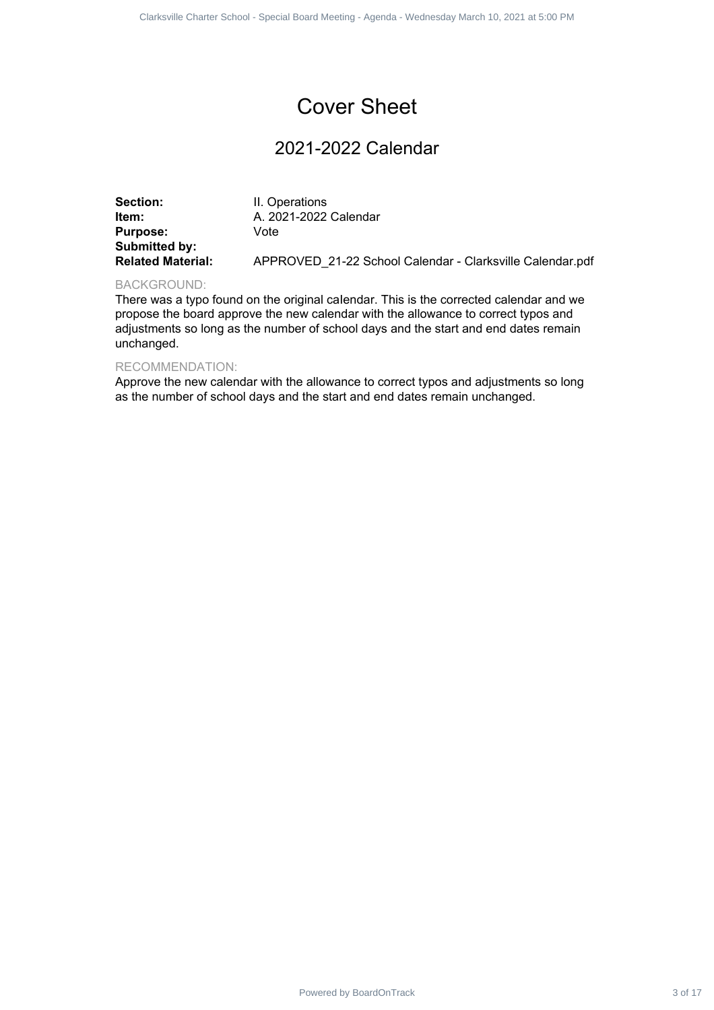## 2021-2022 Calendar

|                                                                                          | Clarksville Charter School - Special Board Meeting - Agenda - Wednesday March 10, 2021 at 5:00 PM                                                                                                                                                                   |         |
|------------------------------------------------------------------------------------------|---------------------------------------------------------------------------------------------------------------------------------------------------------------------------------------------------------------------------------------------------------------------|---------|
|                                                                                          |                                                                                                                                                                                                                                                                     |         |
|                                                                                          | <b>Cover Sheet</b>                                                                                                                                                                                                                                                  |         |
|                                                                                          | 2021-2022 Calendar                                                                                                                                                                                                                                                  |         |
| Section:<br>Item:<br><b>Purpose:</b><br><b>Submitted by:</b><br><b>Related Material:</b> | II. Operations<br>A. 2021-2022 Calendar<br>Vote<br>APPROVED_21-22 School Calendar - Clarksville Calendar.pdf                                                                                                                                                        |         |
| <b>BACKGROUND:</b><br>unchanged.                                                         | There was a typo found on the original calendar. This is the corrected calendar and we<br>propose the board approve the new calendar with the allowance to correct typos and<br>adjustments so long as the number of school days and the start and end dates remain |         |
| RECOMMENDATION:                                                                          | Approve the new calendar with the allowance to correct typos and adjustments so long<br>as the number of school days and the start and end dates remain unchanged.                                                                                                  |         |
|                                                                                          |                                                                                                                                                                                                                                                                     |         |
|                                                                                          |                                                                                                                                                                                                                                                                     |         |
|                                                                                          |                                                                                                                                                                                                                                                                     |         |
|                                                                                          |                                                                                                                                                                                                                                                                     |         |
|                                                                                          |                                                                                                                                                                                                                                                                     |         |
|                                                                                          |                                                                                                                                                                                                                                                                     |         |
|                                                                                          |                                                                                                                                                                                                                                                                     |         |
|                                                                                          |                                                                                                                                                                                                                                                                     |         |
|                                                                                          |                                                                                                                                                                                                                                                                     |         |
|                                                                                          |                                                                                                                                                                                                                                                                     |         |
|                                                                                          |                                                                                                                                                                                                                                                                     |         |
|                                                                                          |                                                                                                                                                                                                                                                                     |         |
|                                                                                          | Powered by BoardOnTrack                                                                                                                                                                                                                                             | 3 of 17 |

## BACKGROUND:

## RECOMMENDATION: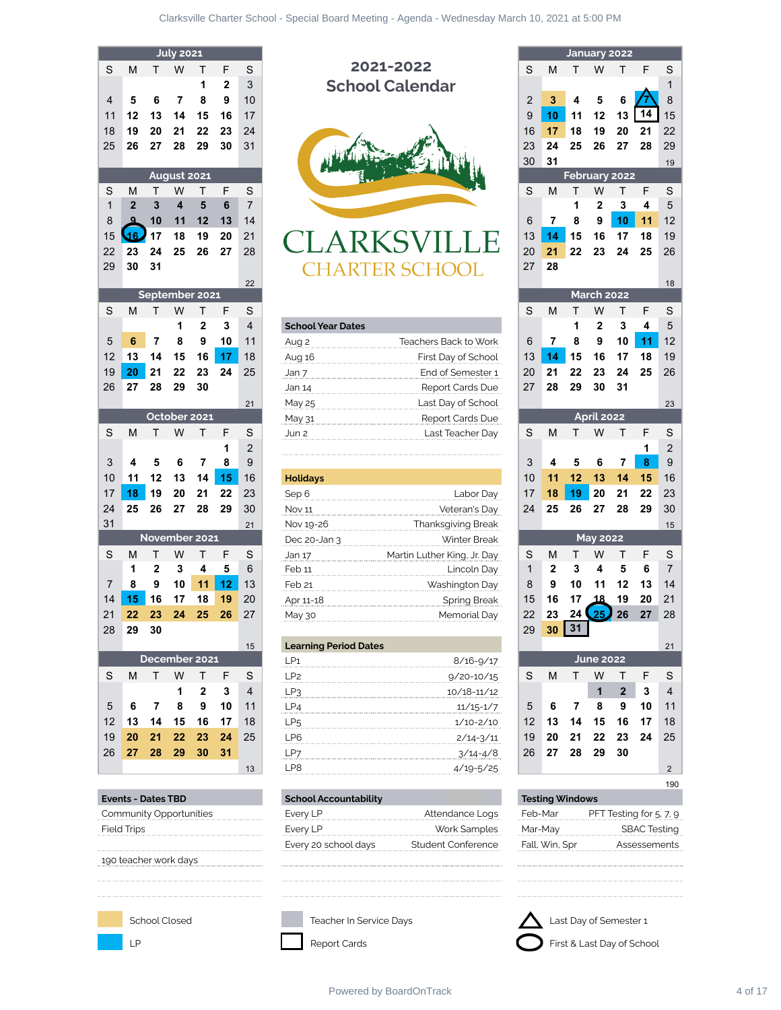|                |                           |                | July 2021               |                         |              |                     |                                           |                |                        |         | January 2022      |                      |
|----------------|---------------------------|----------------|-------------------------|-------------------------|--------------|---------------------|-------------------------------------------|----------------|------------------------|---------|-------------------|----------------------|
| S              | М                         | т              | W                       | т                       | F            | S                   | 2021-2022                                 | S              | M                      | т       | W                 | т                    |
|                |                           |                |                         | 1                       | $\mathbf{2}$ | 3                   | <b>School Calendar</b>                    |                |                        |         |                   |                      |
| 4              | 5                         | 6              | 7                       | 8                       | 9            | 10                  |                                           | $\overline{2}$ | 3                      | 4       | 5                 | 6                    |
| 11             | 12                        | 13             | 14                      | 15                      | 16           | 17                  |                                           | 9              | 10                     | 11      | 12                | 13                   |
| 18             | 19                        | 20             | 21                      | 22                      | 23           | 24                  |                                           | 16             | 17                     | 18      | 19                | 20                   |
| 25             | 26                        | 27             | 28                      | 29                      | 30           | 31                  |                                           | 23             | 24                     | 25      | 26                | 27                   |
|                |                           |                |                         |                         |              |                     |                                           | 30             | 31                     |         |                   |                      |
|                |                           |                | August 2021             |                         |              |                     |                                           |                |                        |         | February 202      |                      |
| S              | м                         | т              | W                       | т                       | F            | S                   |                                           | S              | M                      | Т       | W                 | т                    |
| $\mathbf{1}$   | $\overline{2}$            | 3              | $\overline{\mathbf{4}}$ | 5                       | 6            | $\overline{7}$      |                                           |                |                        | 1       | $\overline{2}$    | $\mathbf 3$          |
| 8              | $\mathbf{Q}$              | 10             | 11                      | 12                      | 13           | 14                  |                                           | 6              | $\overline{7}$         | 8       | 9                 | 10                   |
| 15             | 46.                       | 17             | 18                      | 19                      | 20           | 21                  | <b>CLARKSVILLE</b>                        | 13             | 14                     | 15      | 16                | 17                   |
| 22             | 23                        | 24             | 25                      | 26                      | 27           | 28                  |                                           | 20             | 21                     | 22      | 23                | 24                   |
| 29             | 30                        | 31             |                         |                         |              |                     | HARTER SCHOOL                             | 27             | 28                     |         |                   |                      |
|                |                           |                |                         |                         |              | 22                  |                                           |                |                        |         |                   |                      |
|                |                           |                |                         | September 2021          |              |                     |                                           |                |                        |         | <b>March 2022</b> |                      |
| S              | M                         | Т              | W<br>1                  | т                       | F            | S                   |                                           | S              | M                      | Т<br>1  | W                 | т                    |
|                |                           |                |                         | $\overline{\mathbf{2}}$ | 3            | $\overline{4}$      | <b>School Year Dates</b>                  |                |                        |         | $\overline{2}$    | $\mathbf 3$          |
| 5              | 6                         | $\overline{7}$ | 8                       | 9                       | 10           | 11                  | Teachers Back to Work<br>Aug 2            | 6              | $\overline{7}$         | 8       | 9                 | 10                   |
| 12             | 13                        | 14             | 15                      | 16                      | 17           | 18                  | Aug 16<br>First Day of School             | 13             | 14                     | 15      | 16                | 17                   |
| 19             | 20                        | 21             | 22                      | 23                      | 24           | 25                  | End of Semester 1<br>Jan 7                | 20             | 21                     | 22      | 23                | 24                   |
| 26             | 27                        | 28             | 29                      | 30                      |              |                     | Report Cards Due<br>Jan 14                | 27             | 28                     | 29      | 30                | 31                   |
|                |                           |                |                         | October 2021            |              | 21                  | Last Day of School<br>May 25              |                |                        |         | <b>April 2022</b> |                      |
|                |                           |                |                         |                         |              |                     | Report Cards Due<br>May 31                |                |                        |         |                   |                      |
| S              | M                         | т              | W                       | т                       | F            | S                   | Last Teacher Day<br>Jun 2                 | S              | M                      | т       | W                 | т                    |
|                |                           |                |                         |                         | 1            | $\overline{2}$<br>9 |                                           |                | 4                      |         |                   |                      |
| 3<br>10        | 4<br>11                   | 5<br>12        | 6<br>13                 | 7<br>14                 | 8            | 16                  |                                           | 3<br>10        | 11                     | 5<br>12 | 6<br>13           | $\overline{7}$<br>14 |
| 17             | 18                        | 19             | 20                      | 21                      | 15<br>22     | 23                  | <b>Holidays</b>                           | 17             | 18                     | 19      | 20                | 21                   |
| 24             | 25                        | 26             | 27                      | 28                      | 29           | 30                  | Sep 6<br>Labor Day<br><b>Nov 11</b>       | 24             | 25                     | 26      | 27                | 28                   |
| 31             |                           |                |                         |                         |              |                     | Veteran's Day<br>Thanksgiving Break       |                |                        |         |                   |                      |
|                |                           |                |                         | November 2021           |              | 21                  | Nov 19-26<br>Winter Break<br>Dec 20-Jan 3 |                |                        |         | <b>May 2022</b>   |                      |
| S              | М                         | т              | W                       | т                       | F            | S                   | Martin Luther King, Jr. Day               | S              | M                      | т       | W                 | Т                    |
|                | 1                         | $\mathbf{2}$   | 3                       | 4                       | 5            | 6                   | Jan 17<br>Feb 11<br>Lincoln Day           | $\mathbf{1}$   | $\mathbf{2}$           | 3       | 4                 | 5                    |
| $\overline{7}$ | 8                         | 9              | 10                      | 11                      | 12           | 13                  | Feb 21<br>Washington Day                  | 8              | 9                      | 10      | 11                | 12                   |
| 14             | 15                        | 16             | 17                      | 18                      | 19           | 20                  | Spring Break<br>Apr 11-18                 | 15             | 16                     | 17      | 18                | 19                   |
| 21             | 22                        | 23             | 24                      | 25                      | 26           | 27                  | Memorial Day<br>May 30                    | 22             | 23                     |         | $24 \times 25$ 26 |                      |
| 28             | 29                        | 30             |                         |                         |              |                     |                                           | 29             | 30                     | 31      |                   |                      |
|                |                           |                |                         |                         |              | 15                  | <b>Learning Period Dates</b>              |                |                        |         |                   |                      |
|                |                           |                |                         | December 2021           |              |                     | LP <sub>1</sub><br>$8/16 - 9/17$          |                |                        |         | <b>June 2022</b>  |                      |
| S              | М                         | т              | W                       | Τ                       | F            | S                   | LP <sub>2</sub><br>$9/20 - 10/15$         | S              | M                      | Τ       | W                 | Т                    |
|                |                           |                | 1                       | $\mathbf{2}$            | 3            | 4                   | LP <sub>3</sub><br>10/18-11/12            |                |                        |         | $\mathbf{1}$      | $\boldsymbol{2}$     |
| 5              | 6                         | 7              | 8                       | 9                       | 10           | 11                  | LP4<br>$11/15 - 1/7$                      | 5              | 6                      | 7       | 8                 | 9                    |
| 12             | 13                        | 14             | 15                      | 16                      | 17           | 18                  | LP <sub>5</sub><br>$1/10 - 2/10$          | 12             | 13                     | 14      | 15                | 16                   |
| 19             | 20                        | 21             | 22                      | 23                      | 24           | 25                  | LP6<br>$2/14 - 3/11$                      | 19             | 20                     | 21      | 22                | 23                   |
| 26             | 27                        | 28             | 29                      | 30                      | 31           |                     | $3/14 - 4/8$<br>LP7                       | 26             | 27                     | 28      | 29                | 30                   |
|                |                           |                |                         |                         |              | 13                  | LP8<br>$4/19 - 5/25$                      |                |                        |         |                   |                      |
|                |                           |                |                         |                         |              |                     |                                           |                |                        |         |                   |                      |
|                | <b>Events - Dates TBD</b> |                |                         |                         |              |                     | <b>School Accountability</b>              |                | <b>Testing Windows</b> |         |                   |                      |



|    |   |    |              |    |                                           |    | <b>School Year Dates</b> |                       |    |    |    |                   |     |    |                 |
|----|---|----|--------------|----|-------------------------------------------|----|--------------------------|-----------------------|----|----|----|-------------------|-----|----|-----------------|
| 5  |   |    |              | 9  |                                           | 11 | Aua 2                    | Teachers Back to Work | 6  |    | 8  | 9                 |     |    | 12 <sup>2</sup> |
| 12 |   | 14 | 15           | 16 |                                           | 18 | Aug 16                   | First Day of School   | 13 |    |    | 16                |     |    | 19              |
| 19 |   |    |              |    |                                           | 25 | Jan 7                    | End of Semester 1     | 20 | 21 |    | 23                | 24  | 25 | 26              |
| 26 |   | 28 |              |    |                                           |    | Jan 14                   | Report Cards Due      | 27 | 28 | 29 | 30                | -31 |    |                 |
|    |   |    |              |    |                                           | 21 | May 25                   | Last Dav of School    |    |    |    |                   |     |    | 23              |
|    |   |    | October 2021 |    |                                           |    | May 31                   | Report Cards Due      |    |    |    | <b>April 2022</b> |     |    |                 |
| S  | М |    |              |    |                                           | S  | $\lim_{2}$               | Last Teacher Dav      |    | M  |    | W                 |     |    |                 |
|    |   |    |              |    | <b>Service Contract Contract Contract</b> |    |                          |                       |    |    |    |                   |     |    |                 |

| 10 |    | 12            | 14 |    | 16           | <b>Holidays</b>   |                             | 10 |    | 12 13 |                 | 14 |    | 16 |
|----|----|---------------|----|----|--------------|-------------------|-----------------------------|----|----|-------|-----------------|----|----|----|
| 17 |    | 19            |    |    | 23           | Sep 6             |                             | 17 | 18 |       |                 |    |    | 23 |
| 24 | 25 | 26            | 28 | 29 | 30           | <b>Nov 11</b>     | Veteran's Dav               | 24 | 25 | 26.   | 27              | 28 | 29 | 30 |
| 31 |    |               |    |    | 21           | Nov 19-26         | <b>Thanksgiving Break</b>   |    |    |       |                 |    |    | 15 |
|    |    | November 2021 |    |    |              | Dec $20$ -Jan $3$ | Winter Break                |    |    |       | <b>May 2022</b> |    |    |    |
| S  | м  |               |    |    | <sub>S</sub> | Jan 17            | Martin Luther King, Jr. Day | S  | M  |       | W               |    |    |    |
|    |    |               | 4  | 5  | 6            | Feb 11            | Lincoln Dav                 |    | 2  |       |                 | 5  | 6  |    |
|    | 8  | 9             |    |    | 13           | Feb <sub>21</sub> | Washington Day              | 8  |    |       |                 |    |    | 14 |
| 14 |    | 16            | 18 | 19 | 20           | Apr 11-18         | or 11-18 Spring Break       | 15 |    |       |                 | 19 |    | 21 |
| 21 |    |               |    | 26 |              | May 30            |                             | 22 | 23 |       |                 |    |    | 28 |
|    |    |               |    |    |              |                   |                             |    |    |       |                 |    |    |    |

|              |     |               |     |    |    | 15 | <b>Learning Period Dates</b> |                 |    |    |    |                  |    |    | 21 |
|--------------|-----|---------------|-----|----|----|----|------------------------------|-----------------|----|----|----|------------------|----|----|----|
|              |     | December 2021 |     |    |    |    | P1                           | $8/16 - 9/17$   |    |    |    | <b>June 2022</b> |    |    |    |
| S            | м   |               | w   |    |    | S. | P2                           | $9/20 - 10/15$  | S  | M  |    | W                |    |    |    |
|              |     |               |     |    |    |    | P≎                           | $10/18 - 11/12$ |    |    |    |                  |    | 2  |    |
| 5            |     |               | 8   | 9  |    |    | PA                           | $11/15 - 1/7$   | 5  | 6  |    | 8                |    |    |    |
| $12^{\circ}$ |     | 14            | 15  |    |    | 18 | ∟Pള                          | $1/10 - 2/10$   | 12 |    |    | 15               |    |    | 18 |
| 19           |     |               | 22. | 23 | 24 | 25 | Pĥ                           | $2/14 - 3/11$   | 19 | 20 |    | 22               | 23 | 24 | 25 |
| 26 I         | 27. | -28           | 29  | 30 |    |    | $LP^-$                       | $3/14 - 4/8$    | 26 | 27 | 28 | 29               |    |    |    |
|              |     |               |     |    |    | 13 | P8                           |                 |    |    |    |                  |    |    |    |
|              |     |               |     |    |    |    |                              |                 |    |    |    |                  |    |    |    |

| <b>Events - Dates TBD</b> | <b>School Accountability</b> |                    | <b>Testing Windows</b> |                         |
|---------------------------|------------------------------|--------------------|------------------------|-------------------------|
| Community Opportunities   | Every LP                     | Attendance Logs    | Feb-Mar                | PFT Testing for 5, 7, 9 |
| Field Trips               | Every LP                     | Work Samples       | Mar-Mav                | <b>SBAC Testing</b>     |
|                           | Every 20 school days         | Student Conference | Fall, Win, Spr         | Assessements            |

|              |                      | <b>July 2021</b> |                         |    |                |                              |                             |    |                        |                        |                   | January 2022     |                            |                |
|--------------|----------------------|------------------|-------------------------|----|----------------|------------------------------|-----------------------------|----|------------------------|------------------------|-------------------|------------------|----------------------------|----------------|
| M            | T.                   | W                | Т                       | F  | S              |                              | 2021-2022                   | S  | M                      | т                      | W                 | т                | F                          | S              |
|              |                      |                  | 1                       | 2  | 3              |                              | <b>School Calendar</b>      |    |                        |                        |                   |                  |                            | 1              |
| 5            | 6                    | 7                | 8                       | 9  | 10             |                              |                             | 2  | 3                      | 4                      | 5                 | 6                |                            | 8              |
| 12           | 13                   | 14               | 15                      | 16 | 17             |                              |                             | 9  | 10                     | 11                     | 12                | 13               | 14                         | 15             |
| 19           | 20                   | 21               | 22                      | 23 | 24             |                              |                             | 16 | 17                     | 18                     | 19                | 20               | 21                         | 22             |
| 26           | 27                   | 28               | 29                      | 30 | 31             |                              |                             | 23 | 24                     | 25                     | 26                | 27               | 28                         | 29             |
|              |                      |                  |                         |    |                |                              |                             | 30 | 31                     |                        |                   |                  |                            | 19             |
|              |                      | August 2021      |                         |    |                |                              |                             |    |                        | February 2022          |                   |                  |                            |                |
| M            | т                    | W                | Τ                       | F  | $\mathbb S$    |                              |                             | S  | M                      | т                      | W                 | т                | F                          | S              |
| $\mathbf{2}$ | 3                    | 4                | 5                       | 6  | $\overline{7}$ |                              |                             |    |                        | 1                      | $\mathbf 2$       | $\mathbf{3}$     | 4                          | 5              |
|              | 10                   | 11               | 12                      | 13 | 14             |                              |                             | 6  | $\overline{7}$         | 8                      | 9                 | 10               | 11                         | 12             |
| ى16          | 17                   | 18               | 19                      | 20 | 21             |                              |                             | 13 | 14                     | 15                     | 16                | 17               | 18                         | 19             |
| 23           | 24                   | 25               | 26                      | 27 | 28             |                              |                             | 20 | 21                     | 22                     | 23                | 24               | 25                         | 26             |
| 30           | 31                   |                  |                         |    |                |                              | LARTER SCHOOL               | 27 | 28                     |                        |                   |                  |                            |                |
|              |                      |                  |                         |    | 22             |                              |                             |    |                        |                        |                   |                  |                            | 18             |
|              |                      |                  | September 2021          |    |                |                              |                             |    |                        |                        | <b>March 2022</b> |                  |                            |                |
| M            | Т                    | W                | Τ                       | F  | $\mathbf S$    |                              |                             | S  | M                      | T                      | W                 | Τ                | F                          | $\mathbf S$    |
|              |                      | 1                | $\mathbf 2$             | 3  | 4              | <b>School Year Dates</b>     |                             |    |                        | 1                      | $\mathbf 2$       | 3                | 4                          | 5              |
| 6            | $\overline{7}$       | 8                | 9                       | 10 | 11             | Aug 2                        | Teachers Back to Work       | 6  | $\overline{7}$         | 8                      | 9                 | 10               | 11                         | 12             |
| 13           | 14                   | 15               | 16                      | 17 | 18             | Aug 16                       | First Day of School         | 13 | 14                     | 15                     | 16                | 17               | 18                         | 19             |
| 20           | 21                   | 22               | 23                      | 24 | 25             | Jan 7                        | End of Semester 1           | 20 | 21                     | 22                     | 23                | 24               | 25                         | 26             |
| 27           | 28                   | 29               | 30                      |    |                | Jan 14                       | Report Cards Due            | 27 | 28                     | 29                     | 30                | 31               |                            |                |
|              |                      |                  |                         |    | 21             | May 25                       | Last Day of School          |    |                        |                        |                   |                  |                            | 23             |
|              |                      |                  | October 2021            |    |                | May 31                       | Report Cards Due            |    |                        |                        | <b>April 2022</b> |                  |                            |                |
| M            | т                    | W                | Т                       | F  | S              | Jun 2                        | Last Teacher Day            | S  | M                      | Τ                      | W                 | Τ                | F                          | S              |
|              |                      |                  |                         | 1  | $\overline{2}$ |                              |                             |    |                        |                        |                   |                  | 1                          | $\overline{2}$ |
| 4            | 5                    | 6                | $\overline{7}$          | 8  | 9              |                              |                             | 3  | 4                      | 5                      | 6                 | 7                | $\bf{8}$                   | 9              |
| 11           | 12                   | 13               | 14                      | 15 | 16             | <b>Holidays</b>              |                             | 10 | 11                     | 12                     | 13                | 14               | 15                         | 16             |
| 18           | 19                   | 20               | 21                      | 22 | 23             | Sep 6                        | Labor Day                   | 17 | 18                     | 19                     | 20                | 21               | 22                         | 23             |
| 25           | 26                   | 27               | 28                      | 29 | 30             | Nov 11                       | Veteran's Day               | 24 | 25                     | 26                     | 27                | 28               | 29                         | 30             |
|              |                      |                  |                         |    | 21             | Nov 19-26                    | Thanksgiving Break          |    |                        |                        |                   |                  |                            | 15             |
|              |                      |                  | November 2021           |    |                | Dec 20-Jan 3                 | Winter Break                |    |                        |                        | <b>May 2022</b>   |                  |                            |                |
| M            | Τ                    | W                | Τ                       | F  | S              | Jan 17                       | Martin Luther King, Jr. Day | S  | M                      | Τ                      | W                 | Τ                | F                          | S              |
| 1            | $\mathbf{2}$         | 3                | 4                       | 5  | 6              | Feb 11                       | Lincoln Day                 | 1  | $\mathbf{2}$           | 3                      | 4                 | 5                | 6                          | $\overline{7}$ |
| 8            | 9                    | 10 <sup>1</sup>  | 11                      | 12 | 13             | Feb 21                       | Washington Day              | 8  | 9                      | 10                     | 11                | $12 \,$          | 13                         | 14             |
| 15           | 16                   | 17               | 18                      | 19 | 20             | Apr 11-18                    | <b>Spring Break</b>         | 15 | 16                     |                        | 17 <u>18</u>      | 19               | 20                         | 21             |
| 22           | 23                   | 24               | 25                      | 26 | 27             | May 30                       | Memorial Day                | 22 | 23                     | 24 J                   | 25                | 26               | 27                         | 28             |
| 29           | 30                   |                  |                         |    |                |                              |                             | 29 |                        | $30 \mid 31$           |                   |                  |                            |                |
|              |                      |                  |                         |    | 15             | <b>Learning Period Dates</b> |                             |    |                        |                        |                   |                  |                            | 21             |
|              |                      |                  | December 2021           |    |                | LP <sub>1</sub>              | $8/16 - 9/17$               |    |                        |                        | <b>June 2022</b>  |                  |                            |                |
| M            | т                    | W                | T                       | F  | S              | LP <sub>2</sub>              | $9/20 - 10/15$              | S  | M                      | T.                     | W                 | T                | F.                         | S              |
|              |                      | 1                | $\mathbf{2}$            | 3  | 4              | LP3                          | $10/18 - 11/12$             |    |                        |                        | 1                 | $\boldsymbol{2}$ | 3                          | 4              |
| 6            | 7                    | 8                | 9                       | 10 | 11             | LP4                          | $11/15 - 1/7$               | 5  | 6                      | 7                      | 8                 | 9                | 10                         | 11             |
| 13           | 14                   | 15               | 16                      | 17 | 18             | LP <sub>5</sub>              | $1/10 - 2/10$               | 12 | 13                     | 14                     | 15                | 16               | 17                         | 18             |
| 20           | 21                   | 22               | 23                      | 24 | 25             | LP6                          | $2/14 - 3/11$               | 19 | 20                     | 21                     | 22                | 23               | 24                         | 25             |
| 27           | 28                   | 29               | 30                      | 31 |                | LP7                          | $3/14 - 4/8$                | 26 | 27                     | 28                     | 29                | 30               |                            |                |
|              |                      |                  |                         |    | 13             | LP8                          | $4/19 - 5/25$               |    |                        |                        |                   |                  |                            | $\overline{2}$ |
|              |                      |                  |                         |    |                |                              |                             |    |                        |                        |                   |                  |                            | 190            |
|              | vents - Dates TBD:   |                  |                         |    |                | <b>School Accountability</b> |                             |    | <b>Testing Windows</b> |                        |                   |                  |                            |                |
|              |                      |                  | Community Opportunities |    |                | Every LP                     | Attendance Logs             |    | Feb-Mar                |                        |                   |                  | PFT Testing for 5, 7, 9    |                |
| ïeld Trips   |                      |                  |                         |    |                | Every LP                     | Work Samples                |    | Mar-May                |                        |                   |                  | <b>SBAC Testing</b>        |                |
|              |                      |                  |                         |    |                | Every 20 school days         | Student Conference          |    | Fall, Win, Spr         |                        |                   |                  | Assessements               |                |
|              | 90 teacher work days |                  |                         |    |                |                              |                             |    |                        |                        |                   |                  |                            |                |
|              |                      |                  |                         |    |                |                              |                             |    |                        |                        |                   |                  |                            |                |
|              |                      |                  |                         |    |                |                              |                             |    |                        |                        |                   |                  |                            |                |
|              |                      |                  |                         |    |                |                              |                             |    |                        |                        |                   |                  |                            |                |
|              |                      |                  |                         |    |                |                              |                             |    |                        |                        |                   |                  |                            |                |
|              | School Closed        |                  |                         |    |                | Teacher In Service Days      |                             |    |                        | Last Day of Semester 1 |                   |                  |                            |                |
| LP           |                      |                  |                         |    |                | Report Cards                 |                             |    |                        |                        |                   |                  | First & Last Day of School |                |

| <b>Testing Windows</b> |                         |
|------------------------|-------------------------|
| Feb-Mar                | PFT Testing for 5, 7, 9 |
| Mar-May                | <b>SBAC Testing</b>     |
| Fall, Win, Spr         | Assessements            |

190 teacher work days



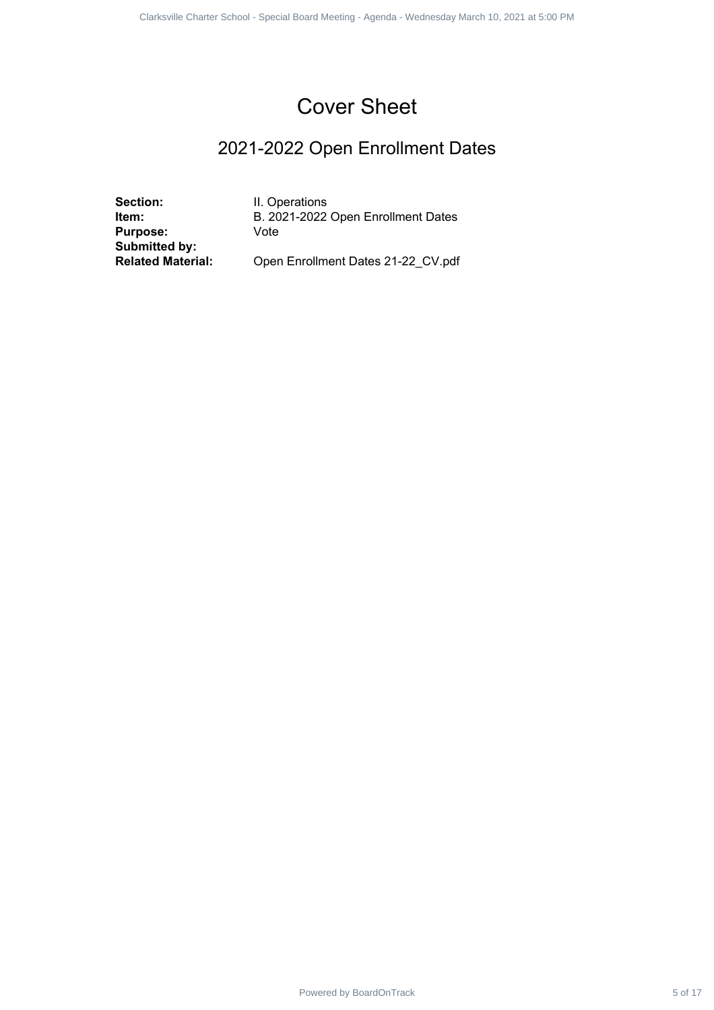## 2021-2022 Open Enrollment Dates

**Section:** II. Operations<br> **Item:** B. 2021-2022 **Purpose:** Vote **Submitted by:**

**Item:** B. 2021-2022 Open Enrollment Dates Powered by BoardOnTrack 5 of 17 of 17 and 18 of 17 of 17 1 of 17 1 of 17 1 of 17 1 of 17 1 2022 Open Enrollment Dates<br>
Since 1<br>
2021-2022 Open Enrollment Dates<br>
In Cycle - Wednesday March 10, 2021 at 5:00 PM<br>
March 10, 202

Open Enrollment Dates 21-22\_CV.pdf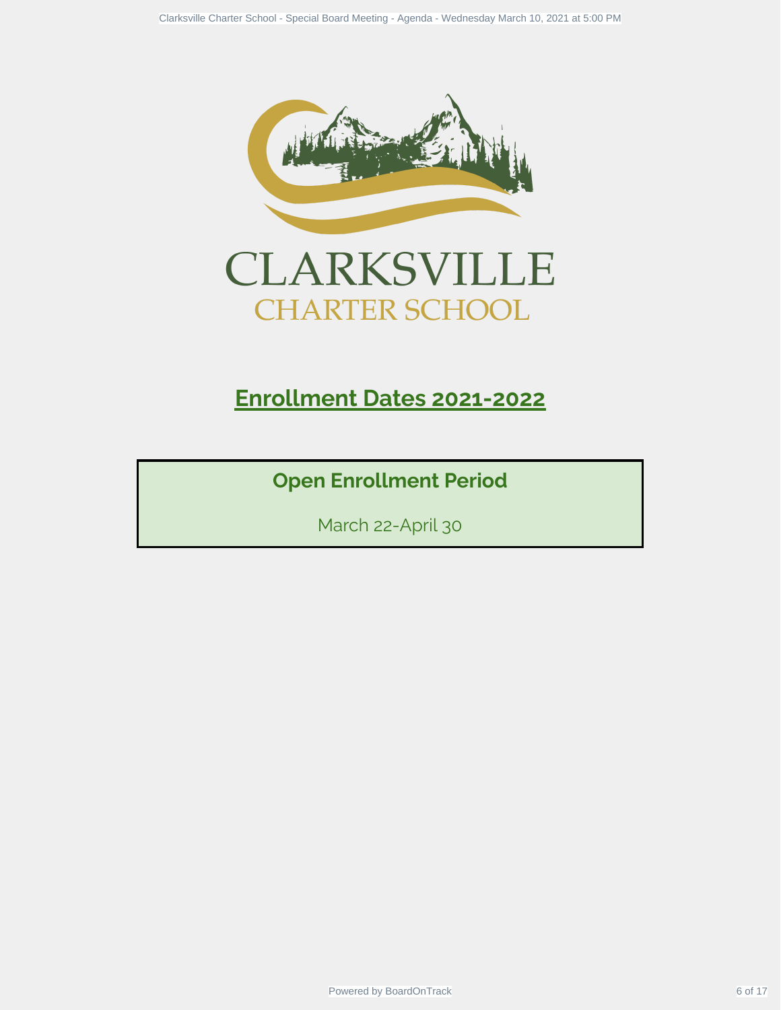



# **Enrollment Dates 2021-2022**

**Open Enrollment Period**

March 22-April 30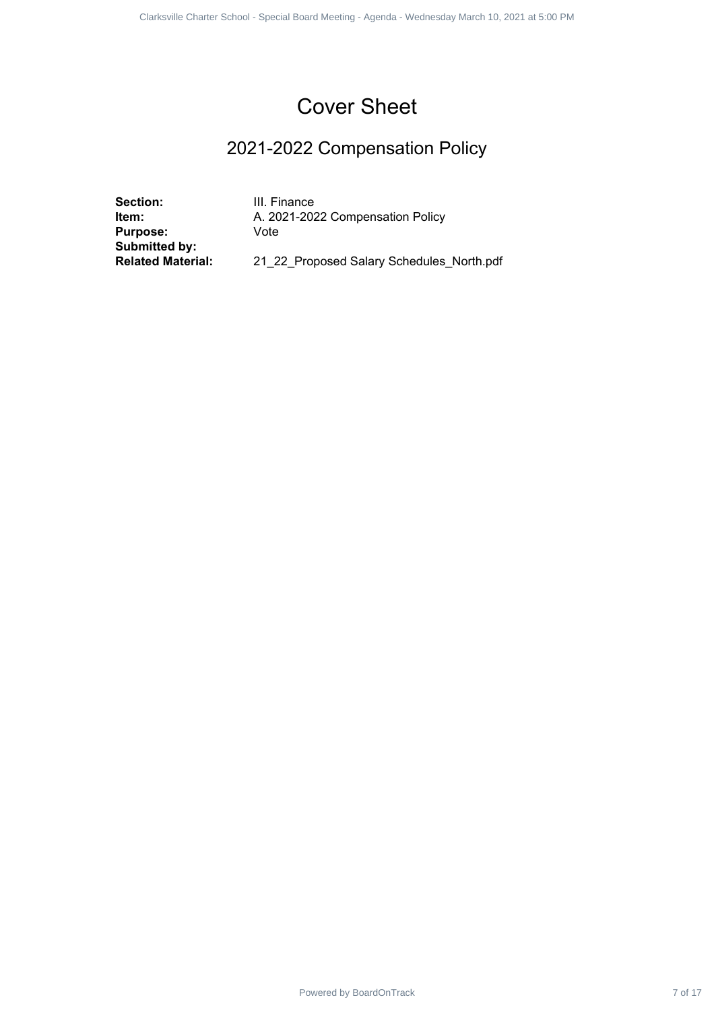## 2021-2022 Compensation Policy

**Section:** III. Finance<br>**Item:** A. 2021-202 **Purpose:** Vote **Submitted by:**

**Item:** A. 2021-2022 Compensation Policy Powered by BoardOnTrack 7 of 17 of 17 of 17 of 17 of 17 of 17 of 17 of 17 1 of 17 1 of 17 1 of 17 1 of 17 1 of 17 1 of 17 1 of 17 1 of 17 1 of 17 1 of 17 1 of 17 1 of 17 1 of 17 1 of 17 1 of 18 of 17 1 of 18 of 17 1 of 18

**Related Material:** 21\_22\_Proposed Salary Schedules\_North.pdf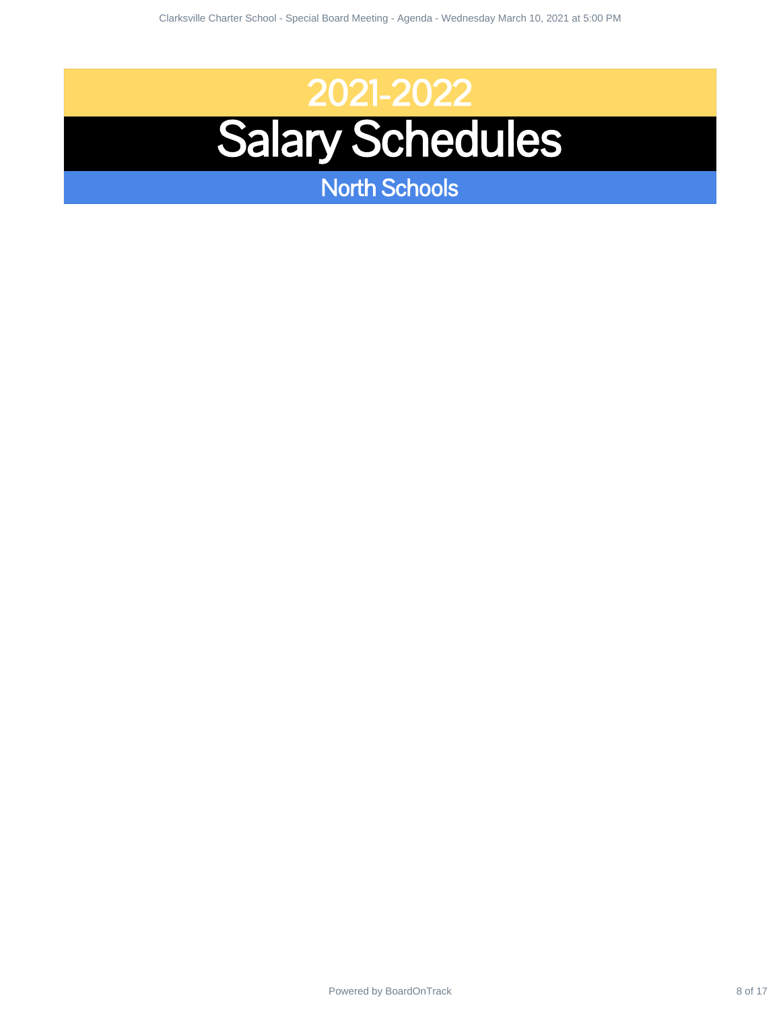# 2021-2022 Salary Schedules Power of 2021-2022<br>Power School - Special Board Meeting - Special Board Meeting - Wednesday March 10, 2021<br>- Process by March 10, 2021 at 5:00 PM - Wednesday March 10, 2021 at 5:00 PM - Wednesday March 10, 2021 at 5:0<br>- PM

North Schools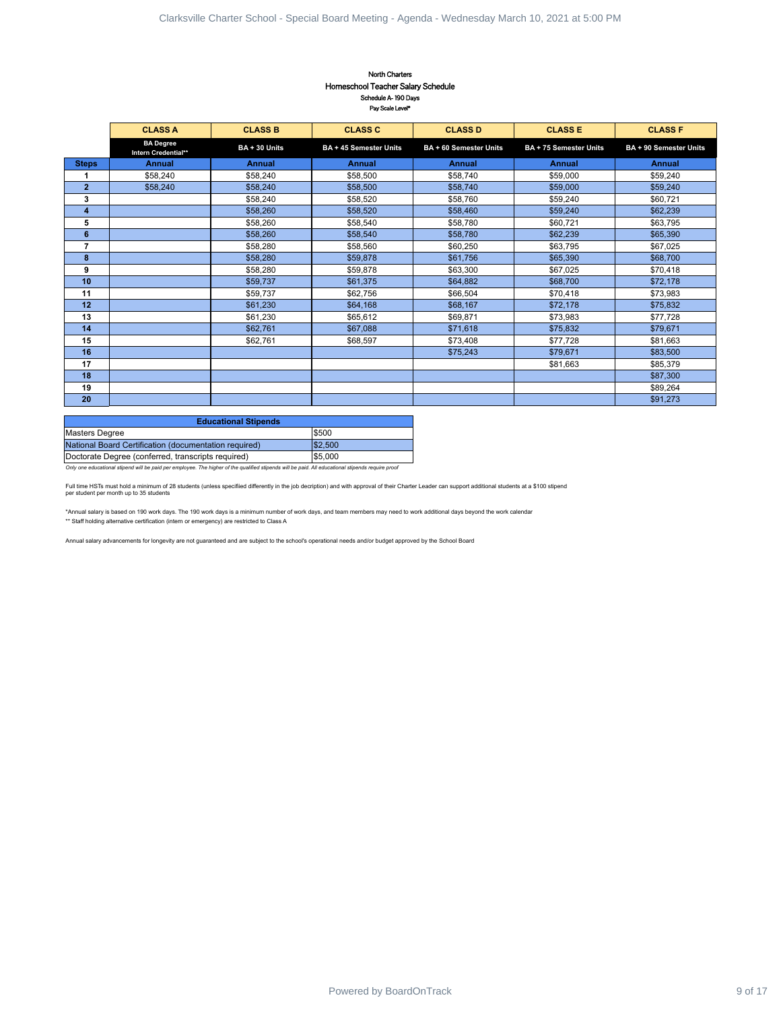#### North Charters Homeschool Teacher Salary Schedule Schedule A- 190 Days Pay Scale Level\*

| <b>Steps</b><br>3<br>$\overline{7}$<br>10<br>11<br>12<br>13<br>14<br>15<br>16<br>17<br>18<br>19<br>20<br><b>Masters Degree</b><br>National Board Certification (documentation required)<br>Doctorate Degree (conferred, transcripts required)<br>per student per month up to 35 students | <b>CLASS A</b><br><b>BA Degree</b><br>Intern Credential**<br><b>Annual</b><br>\$58,240<br>\$58,240 | <b>CLASS B</b><br>BA + 30 Units<br>Annual<br>\$58,240<br>\$58,240<br>\$58,240<br>\$58,260<br>\$58,260<br>\$58,260<br>\$58,280<br>\$58,280<br>\$58,280<br>\$59,737<br>\$59,737<br>\$61,230<br>\$61,230<br>\$62,761<br>\$62,761<br><b>Educational Stipends</b><br>** Staff holding alternative certification (intern or emergency) are restricted to Class A | <b>CLASS C</b><br>BA + 45 Semester Units<br><b>Annual</b><br>\$58,500<br>\$58,500<br>\$58,520<br>\$58,520<br>\$58,540<br>\$58,540<br>\$58,560<br>\$59,878<br>\$59,878<br>\$61,375<br>\$62,756<br>\$64,168<br>\$65,612<br>\$67,088<br>\$68,597<br>\$500<br>\$2,500<br>\$5,000<br>Only one educational stipend will be paid per employee. The higher of the qualified stipends will be paid. All educational stipends require proof<br>Full time HSTs must hold a minimum of 28 students (unless specifiied differently in the job decription) and with approval of their Charter Leader can support additional students at a \$100 stipend<br>*Annual salary is based on 190 work days. The 190 work days is a minimum number of work days, and team members may need to work additional days beyond the work calendar<br>Annual salary advancements for longevity are not guaranteed and are subject to the school's operational needs and/or budget approved by the School Board | <b>CLASS D</b><br>BA + 60 Semester Units<br><b>Annual</b><br>\$58,740<br>\$58,740<br>\$58,760<br>\$58,460<br>\$58,780<br>\$58,780<br>\$60,250<br>\$61,756<br>\$63,300<br>\$64,882<br>\$66,504<br>\$68,167<br>\$69,871<br>\$71,618<br>\$73,408<br>\$75,243 | <b>CLASS E</b><br>BA + 75 Semester Units<br>Annual<br>\$59,000<br>\$59,000<br>\$59,240<br>\$59,240<br>\$60,721<br>\$62,239<br>\$63,795<br>\$65,390<br>\$67,025<br>\$68,700<br>\$70,418<br>\$72,178<br>\$73,983<br>\$75,832<br>\$77,728<br>\$79,671<br>\$81,663 | <b>CLASS F</b><br>BA + 90 Semester Units<br>Annual<br>\$59,240<br>\$59,240<br>\$60,721<br>\$62,239<br>\$63,795<br>\$65,390<br>\$67,025<br>\$68,700<br>\$70,418<br>\$72,178<br>\$73,983<br>\$75,832<br>\$77,728<br>\$79,671<br>\$81,663<br>\$83,500<br>\$85,379<br>\$87,300<br>\$89,264<br>\$91,273 |
|------------------------------------------------------------------------------------------------------------------------------------------------------------------------------------------------------------------------------------------------------------------------------------------|----------------------------------------------------------------------------------------------------|------------------------------------------------------------------------------------------------------------------------------------------------------------------------------------------------------------------------------------------------------------------------------------------------------------------------------------------------------------|-----------------------------------------------------------------------------------------------------------------------------------------------------------------------------------------------------------------------------------------------------------------------------------------------------------------------------------------------------------------------------------------------------------------------------------------------------------------------------------------------------------------------------------------------------------------------------------------------------------------------------------------------------------------------------------------------------------------------------------------------------------------------------------------------------------------------------------------------------------------------------------------------------------------------------------------------------------------------------------|-----------------------------------------------------------------------------------------------------------------------------------------------------------------------------------------------------------------------------------------------------------|----------------------------------------------------------------------------------------------------------------------------------------------------------------------------------------------------------------------------------------------------------------|----------------------------------------------------------------------------------------------------------------------------------------------------------------------------------------------------------------------------------------------------------------------------------------------------|
|                                                                                                                                                                                                                                                                                          |                                                                                                    |                                                                                                                                                                                                                                                                                                                                                            |                                                                                                                                                                                                                                                                                                                                                                                                                                                                                                                                                                                                                                                                                                                                                                                                                                                                                                                                                                                   |                                                                                                                                                                                                                                                           |                                                                                                                                                                                                                                                                |                                                                                                                                                                                                                                                                                                    |
|                                                                                                                                                                                                                                                                                          |                                                                                                    |                                                                                                                                                                                                                                                                                                                                                            |                                                                                                                                                                                                                                                                                                                                                                                                                                                                                                                                                                                                                                                                                                                                                                                                                                                                                                                                                                                   |                                                                                                                                                                                                                                                           |                                                                                                                                                                                                                                                                |                                                                                                                                                                                                                                                                                                    |
|                                                                                                                                                                                                                                                                                          |                                                                                                    |                                                                                                                                                                                                                                                                                                                                                            |                                                                                                                                                                                                                                                                                                                                                                                                                                                                                                                                                                                                                                                                                                                                                                                                                                                                                                                                                                                   |                                                                                                                                                                                                                                                           |                                                                                                                                                                                                                                                                |                                                                                                                                                                                                                                                                                                    |
|                                                                                                                                                                                                                                                                                          |                                                                                                    |                                                                                                                                                                                                                                                                                                                                                            |                                                                                                                                                                                                                                                                                                                                                                                                                                                                                                                                                                                                                                                                                                                                                                                                                                                                                                                                                                                   |                                                                                                                                                                                                                                                           |                                                                                                                                                                                                                                                                |                                                                                                                                                                                                                                                                                                    |
|                                                                                                                                                                                                                                                                                          |                                                                                                    |                                                                                                                                                                                                                                                                                                                                                            |                                                                                                                                                                                                                                                                                                                                                                                                                                                                                                                                                                                                                                                                                                                                                                                                                                                                                                                                                                                   |                                                                                                                                                                                                                                                           |                                                                                                                                                                                                                                                                |                                                                                                                                                                                                                                                                                                    |
|                                                                                                                                                                                                                                                                                          |                                                                                                    |                                                                                                                                                                                                                                                                                                                                                            |                                                                                                                                                                                                                                                                                                                                                                                                                                                                                                                                                                                                                                                                                                                                                                                                                                                                                                                                                                                   |                                                                                                                                                                                                                                                           |                                                                                                                                                                                                                                                                |                                                                                                                                                                                                                                                                                                    |
|                                                                                                                                                                                                                                                                                          |                                                                                                    |                                                                                                                                                                                                                                                                                                                                                            |                                                                                                                                                                                                                                                                                                                                                                                                                                                                                                                                                                                                                                                                                                                                                                                                                                                                                                                                                                                   |                                                                                                                                                                                                                                                           |                                                                                                                                                                                                                                                                |                                                                                                                                                                                                                                                                                                    |
|                                                                                                                                                                                                                                                                                          |                                                                                                    |                                                                                                                                                                                                                                                                                                                                                            |                                                                                                                                                                                                                                                                                                                                                                                                                                                                                                                                                                                                                                                                                                                                                                                                                                                                                                                                                                                   |                                                                                                                                                                                                                                                           |                                                                                                                                                                                                                                                                |                                                                                                                                                                                                                                                                                                    |
|                                                                                                                                                                                                                                                                                          |                                                                                                    |                                                                                                                                                                                                                                                                                                                                                            |                                                                                                                                                                                                                                                                                                                                                                                                                                                                                                                                                                                                                                                                                                                                                                                                                                                                                                                                                                                   |                                                                                                                                                                                                                                                           |                                                                                                                                                                                                                                                                |                                                                                                                                                                                                                                                                                                    |
|                                                                                                                                                                                                                                                                                          |                                                                                                    |                                                                                                                                                                                                                                                                                                                                                            |                                                                                                                                                                                                                                                                                                                                                                                                                                                                                                                                                                                                                                                                                                                                                                                                                                                                                                                                                                                   |                                                                                                                                                                                                                                                           |                                                                                                                                                                                                                                                                |                                                                                                                                                                                                                                                                                                    |
|                                                                                                                                                                                                                                                                                          |                                                                                                    |                                                                                                                                                                                                                                                                                                                                                            |                                                                                                                                                                                                                                                                                                                                                                                                                                                                                                                                                                                                                                                                                                                                                                                                                                                                                                                                                                                   |                                                                                                                                                                                                                                                           |                                                                                                                                                                                                                                                                |                                                                                                                                                                                                                                                                                                    |
|                                                                                                                                                                                                                                                                                          |                                                                                                    |                                                                                                                                                                                                                                                                                                                                                            |                                                                                                                                                                                                                                                                                                                                                                                                                                                                                                                                                                                                                                                                                                                                                                                                                                                                                                                                                                                   |                                                                                                                                                                                                                                                           |                                                                                                                                                                                                                                                                |                                                                                                                                                                                                                                                                                                    |
|                                                                                                                                                                                                                                                                                          |                                                                                                    |                                                                                                                                                                                                                                                                                                                                                            |                                                                                                                                                                                                                                                                                                                                                                                                                                                                                                                                                                                                                                                                                                                                                                                                                                                                                                                                                                                   |                                                                                                                                                                                                                                                           |                                                                                                                                                                                                                                                                |                                                                                                                                                                                                                                                                                                    |
|                                                                                                                                                                                                                                                                                          |                                                                                                    |                                                                                                                                                                                                                                                                                                                                                            |                                                                                                                                                                                                                                                                                                                                                                                                                                                                                                                                                                                                                                                                                                                                                                                                                                                                                                                                                                                   |                                                                                                                                                                                                                                                           |                                                                                                                                                                                                                                                                |                                                                                                                                                                                                                                                                                                    |
|                                                                                                                                                                                                                                                                                          |                                                                                                    |                                                                                                                                                                                                                                                                                                                                                            |                                                                                                                                                                                                                                                                                                                                                                                                                                                                                                                                                                                                                                                                                                                                                                                                                                                                                                                                                                                   |                                                                                                                                                                                                                                                           |                                                                                                                                                                                                                                                                |                                                                                                                                                                                                                                                                                                    |
|                                                                                                                                                                                                                                                                                          |                                                                                                    |                                                                                                                                                                                                                                                                                                                                                            |                                                                                                                                                                                                                                                                                                                                                                                                                                                                                                                                                                                                                                                                                                                                                                                                                                                                                                                                                                                   |                                                                                                                                                                                                                                                           |                                                                                                                                                                                                                                                                |                                                                                                                                                                                                                                                                                                    |
|                                                                                                                                                                                                                                                                                          |                                                                                                    |                                                                                                                                                                                                                                                                                                                                                            |                                                                                                                                                                                                                                                                                                                                                                                                                                                                                                                                                                                                                                                                                                                                                                                                                                                                                                                                                                                   |                                                                                                                                                                                                                                                           |                                                                                                                                                                                                                                                                |                                                                                                                                                                                                                                                                                                    |
|                                                                                                                                                                                                                                                                                          |                                                                                                    |                                                                                                                                                                                                                                                                                                                                                            |                                                                                                                                                                                                                                                                                                                                                                                                                                                                                                                                                                                                                                                                                                                                                                                                                                                                                                                                                                                   |                                                                                                                                                                                                                                                           |                                                                                                                                                                                                                                                                |                                                                                                                                                                                                                                                                                                    |
|                                                                                                                                                                                                                                                                                          |                                                                                                    |                                                                                                                                                                                                                                                                                                                                                            |                                                                                                                                                                                                                                                                                                                                                                                                                                                                                                                                                                                                                                                                                                                                                                                                                                                                                                                                                                                   |                                                                                                                                                                                                                                                           |                                                                                                                                                                                                                                                                |                                                                                                                                                                                                                                                                                                    |
|                                                                                                                                                                                                                                                                                          |                                                                                                    |                                                                                                                                                                                                                                                                                                                                                            |                                                                                                                                                                                                                                                                                                                                                                                                                                                                                                                                                                                                                                                                                                                                                                                                                                                                                                                                                                                   |                                                                                                                                                                                                                                                           |                                                                                                                                                                                                                                                                |                                                                                                                                                                                                                                                                                                    |
|                                                                                                                                                                                                                                                                                          |                                                                                                    |                                                                                                                                                                                                                                                                                                                                                            |                                                                                                                                                                                                                                                                                                                                                                                                                                                                                                                                                                                                                                                                                                                                                                                                                                                                                                                                                                                   |                                                                                                                                                                                                                                                           |                                                                                                                                                                                                                                                                |                                                                                                                                                                                                                                                                                                    |
|                                                                                                                                                                                                                                                                                          |                                                                                                    |                                                                                                                                                                                                                                                                                                                                                            |                                                                                                                                                                                                                                                                                                                                                                                                                                                                                                                                                                                                                                                                                                                                                                                                                                                                                                                                                                                   |                                                                                                                                                                                                                                                           |                                                                                                                                                                                                                                                                |                                                                                                                                                                                                                                                                                                    |
|                                                                                                                                                                                                                                                                                          |                                                                                                    |                                                                                                                                                                                                                                                                                                                                                            |                                                                                                                                                                                                                                                                                                                                                                                                                                                                                                                                                                                                                                                                                                                                                                                                                                                                                                                                                                                   |                                                                                                                                                                                                                                                           |                                                                                                                                                                                                                                                                |                                                                                                                                                                                                                                                                                                    |
|                                                                                                                                                                                                                                                                                          |                                                                                                    |                                                                                                                                                                                                                                                                                                                                                            |                                                                                                                                                                                                                                                                                                                                                                                                                                                                                                                                                                                                                                                                                                                                                                                                                                                                                                                                                                                   |                                                                                                                                                                                                                                                           |                                                                                                                                                                                                                                                                |                                                                                                                                                                                                                                                                                                    |
|                                                                                                                                                                                                                                                                                          |                                                                                                    |                                                                                                                                                                                                                                                                                                                                                            |                                                                                                                                                                                                                                                                                                                                                                                                                                                                                                                                                                                                                                                                                                                                                                                                                                                                                                                                                                                   |                                                                                                                                                                                                                                                           |                                                                                                                                                                                                                                                                |                                                                                                                                                                                                                                                                                                    |
|                                                                                                                                                                                                                                                                                          |                                                                                                    |                                                                                                                                                                                                                                                                                                                                                            |                                                                                                                                                                                                                                                                                                                                                                                                                                                                                                                                                                                                                                                                                                                                                                                                                                                                                                                                                                                   |                                                                                                                                                                                                                                                           |                                                                                                                                                                                                                                                                |                                                                                                                                                                                                                                                                                                    |
|                                                                                                                                                                                                                                                                                          |                                                                                                    |                                                                                                                                                                                                                                                                                                                                                            |                                                                                                                                                                                                                                                                                                                                                                                                                                                                                                                                                                                                                                                                                                                                                                                                                                                                                                                                                                                   |                                                                                                                                                                                                                                                           |                                                                                                                                                                                                                                                                |                                                                                                                                                                                                                                                                                                    |
|                                                                                                                                                                                                                                                                                          |                                                                                                    |                                                                                                                                                                                                                                                                                                                                                            |                                                                                                                                                                                                                                                                                                                                                                                                                                                                                                                                                                                                                                                                                                                                                                                                                                                                                                                                                                                   |                                                                                                                                                                                                                                                           |                                                                                                                                                                                                                                                                |                                                                                                                                                                                                                                                                                                    |
|                                                                                                                                                                                                                                                                                          |                                                                                                    |                                                                                                                                                                                                                                                                                                                                                            |                                                                                                                                                                                                                                                                                                                                                                                                                                                                                                                                                                                                                                                                                                                                                                                                                                                                                                                                                                                   |                                                                                                                                                                                                                                                           |                                                                                                                                                                                                                                                                |                                                                                                                                                                                                                                                                                                    |
|                                                                                                                                                                                                                                                                                          |                                                                                                    |                                                                                                                                                                                                                                                                                                                                                            |                                                                                                                                                                                                                                                                                                                                                                                                                                                                                                                                                                                                                                                                                                                                                                                                                                                                                                                                                                                   |                                                                                                                                                                                                                                                           |                                                                                                                                                                                                                                                                |                                                                                                                                                                                                                                                                                                    |
|                                                                                                                                                                                                                                                                                          |                                                                                                    |                                                                                                                                                                                                                                                                                                                                                            |                                                                                                                                                                                                                                                                                                                                                                                                                                                                                                                                                                                                                                                                                                                                                                                                                                                                                                                                                                                   |                                                                                                                                                                                                                                                           |                                                                                                                                                                                                                                                                |                                                                                                                                                                                                                                                                                                    |
|                                                                                                                                                                                                                                                                                          |                                                                                                    |                                                                                                                                                                                                                                                                                                                                                            |                                                                                                                                                                                                                                                                                                                                                                                                                                                                                                                                                                                                                                                                                                                                                                                                                                                                                                                                                                                   |                                                                                                                                                                                                                                                           |                                                                                                                                                                                                                                                                |                                                                                                                                                                                                                                                                                                    |
|                                                                                                                                                                                                                                                                                          |                                                                                                    |                                                                                                                                                                                                                                                                                                                                                            |                                                                                                                                                                                                                                                                                                                                                                                                                                                                                                                                                                                                                                                                                                                                                                                                                                                                                                                                                                                   |                                                                                                                                                                                                                                                           |                                                                                                                                                                                                                                                                |                                                                                                                                                                                                                                                                                                    |
|                                                                                                                                                                                                                                                                                          |                                                                                                    |                                                                                                                                                                                                                                                                                                                                                            |                                                                                                                                                                                                                                                                                                                                                                                                                                                                                                                                                                                                                                                                                                                                                                                                                                                                                                                                                                                   |                                                                                                                                                                                                                                                           |                                                                                                                                                                                                                                                                |                                                                                                                                                                                                                                                                                                    |
|                                                                                                                                                                                                                                                                                          |                                                                                                    |                                                                                                                                                                                                                                                                                                                                                            |                                                                                                                                                                                                                                                                                                                                                                                                                                                                                                                                                                                                                                                                                                                                                                                                                                                                                                                                                                                   |                                                                                                                                                                                                                                                           |                                                                                                                                                                                                                                                                |                                                                                                                                                                                                                                                                                                    |
|                                                                                                                                                                                                                                                                                          |                                                                                                    |                                                                                                                                                                                                                                                                                                                                                            |                                                                                                                                                                                                                                                                                                                                                                                                                                                                                                                                                                                                                                                                                                                                                                                                                                                                                                                                                                                   |                                                                                                                                                                                                                                                           |                                                                                                                                                                                                                                                                |                                                                                                                                                                                                                                                                                                    |
|                                                                                                                                                                                                                                                                                          |                                                                                                    |                                                                                                                                                                                                                                                                                                                                                            |                                                                                                                                                                                                                                                                                                                                                                                                                                                                                                                                                                                                                                                                                                                                                                                                                                                                                                                                                                                   |                                                                                                                                                                                                                                                           |                                                                                                                                                                                                                                                                |                                                                                                                                                                                                                                                                                                    |
|                                                                                                                                                                                                                                                                                          |                                                                                                    |                                                                                                                                                                                                                                                                                                                                                            |                                                                                                                                                                                                                                                                                                                                                                                                                                                                                                                                                                                                                                                                                                                                                                                                                                                                                                                                                                                   |                                                                                                                                                                                                                                                           |                                                                                                                                                                                                                                                                |                                                                                                                                                                                                                                                                                                    |
|                                                                                                                                                                                                                                                                                          |                                                                                                    |                                                                                                                                                                                                                                                                                                                                                            |                                                                                                                                                                                                                                                                                                                                                                                                                                                                                                                                                                                                                                                                                                                                                                                                                                                                                                                                                                                   |                                                                                                                                                                                                                                                           |                                                                                                                                                                                                                                                                |                                                                                                                                                                                                                                                                                                    |
|                                                                                                                                                                                                                                                                                          |                                                                                                    |                                                                                                                                                                                                                                                                                                                                                            |                                                                                                                                                                                                                                                                                                                                                                                                                                                                                                                                                                                                                                                                                                                                                                                                                                                                                                                                                                                   |                                                                                                                                                                                                                                                           |                                                                                                                                                                                                                                                                |                                                                                                                                                                                                                                                                                                    |

| <b>Educational Stipends</b>                           |         |  |  |  |  |  |  |
|-------------------------------------------------------|---------|--|--|--|--|--|--|
| Masters Degree                                        | \$500   |  |  |  |  |  |  |
| National Board Certification (documentation required) | \$2,500 |  |  |  |  |  |  |
| Doctorate Degree (conferred, transcripts required)    | \$5,000 |  |  |  |  |  |  |
|                                                       |         |  |  |  |  |  |  |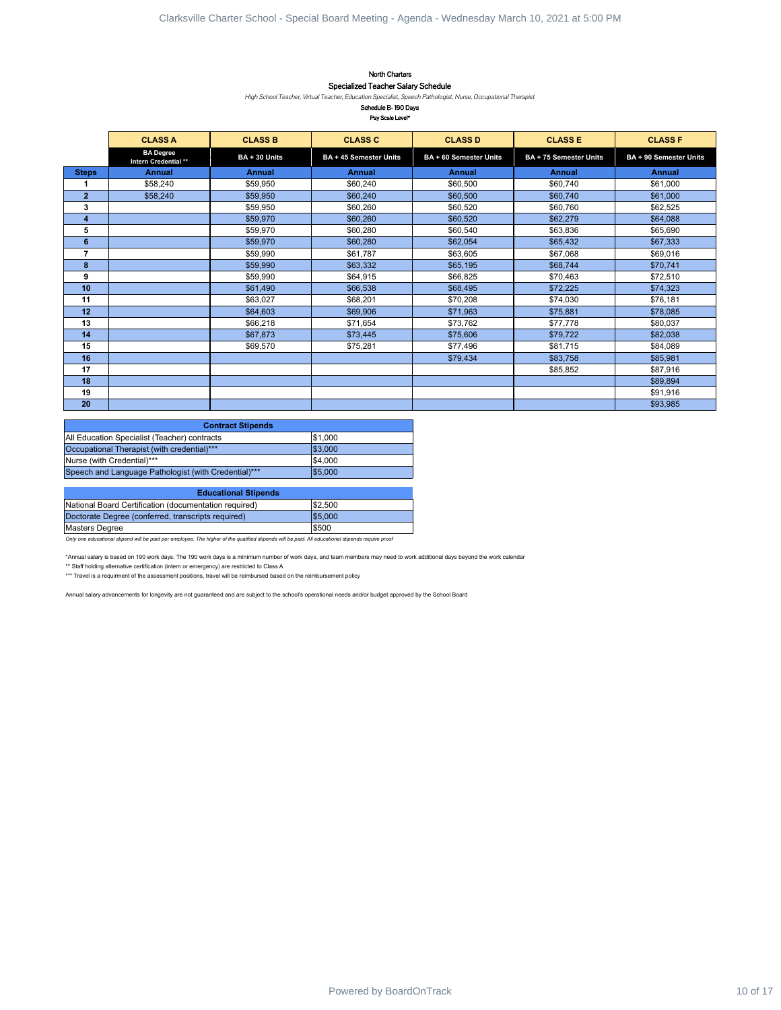## North Charters Specialized Teacher Salary Schedule

#### Schedule B- 190 Days Pay Scale Level\*

|                            |                                                                                                                                                                                                                                                                                                                                                                                                                                                                                       |                      | North Charters<br>Specialized Teacher Salary Schedule<br>High School Teacher, Virtual Teacher, Education Specialist, Speech Pathologist, Nurse, Occupational Therapist<br>Schedule B-190 Days<br>Pay Scale Level <sup>*</sup>                                                                                                                                       |                        |                        |                        |
|----------------------------|---------------------------------------------------------------------------------------------------------------------------------------------------------------------------------------------------------------------------------------------------------------------------------------------------------------------------------------------------------------------------------------------------------------------------------------------------------------------------------------|----------------------|---------------------------------------------------------------------------------------------------------------------------------------------------------------------------------------------------------------------------------------------------------------------------------------------------------------------------------------------------------------------|------------------------|------------------------|------------------------|
|                            | <b>CLASS A</b>                                                                                                                                                                                                                                                                                                                                                                                                                                                                        | <b>CLASS B</b>       | <b>CLASS C</b>                                                                                                                                                                                                                                                                                                                                                      | <b>CLASS D</b>         | <b>CLASS E</b>         | <b>CLASS F</b>         |
|                            | <b>BA Degree</b><br>Intern Credential **                                                                                                                                                                                                                                                                                                                                                                                                                                              | BA + 30 Units        | BA + 45 Semester Units                                                                                                                                                                                                                                                                                                                                              | BA + 60 Semester Units | BA + 75 Semester Units | BA + 90 Semester Units |
| <b>Steps</b>               | <b>Annual</b>                                                                                                                                                                                                                                                                                                                                                                                                                                                                         | <b>Annual</b>        | Annual                                                                                                                                                                                                                                                                                                                                                              | Annual                 | Annual                 | Annual                 |
| 1                          | \$58,240                                                                                                                                                                                                                                                                                                                                                                                                                                                                              | \$59,950             | \$60,240                                                                                                                                                                                                                                                                                                                                                            | \$60,500               | \$60,740               | \$61,000               |
| $\overline{2}$<br>3        | \$58,240                                                                                                                                                                                                                                                                                                                                                                                                                                                                              | \$59,950<br>\$59,950 | \$60,240<br>\$60,260                                                                                                                                                                                                                                                                                                                                                | \$60,500<br>\$60,520   | \$60,740<br>\$60,760   | \$61,000<br>\$62,525   |
| $\overline{\mathbf{4}}$    |                                                                                                                                                                                                                                                                                                                                                                                                                                                                                       | \$59,970             | \$60,260                                                                                                                                                                                                                                                                                                                                                            | \$60,520               | \$62,279               | \$64,088               |
| 5                          |                                                                                                                                                                                                                                                                                                                                                                                                                                                                                       | \$59,970             | \$60,280                                                                                                                                                                                                                                                                                                                                                            | \$60,540               | \$63,836               | \$65,690               |
| $\bf 6$                    |                                                                                                                                                                                                                                                                                                                                                                                                                                                                                       | \$59,970             | \$60,280                                                                                                                                                                                                                                                                                                                                                            | \$62,054               | \$65,432               | \$67,333               |
| $\overline{7}$<br>$\bf{8}$ |                                                                                                                                                                                                                                                                                                                                                                                                                                                                                       | \$59,990<br>\$59,990 | \$61,787<br>\$63,332                                                                                                                                                                                                                                                                                                                                                | \$63,605<br>\$65,195   | \$67,068<br>\$68,744   | \$69,016<br>\$70,741   |
| 9                          |                                                                                                                                                                                                                                                                                                                                                                                                                                                                                       | \$59,990             | \$64,915                                                                                                                                                                                                                                                                                                                                                            | \$66,825               | \$70,463               | \$72,510               |
| 10                         |                                                                                                                                                                                                                                                                                                                                                                                                                                                                                       | \$61,490             | \$66,538                                                                                                                                                                                                                                                                                                                                                            | \$68,495               | \$72,225               | \$74,323               |
| 11                         |                                                                                                                                                                                                                                                                                                                                                                                                                                                                                       | \$63,027             | \$68,201                                                                                                                                                                                                                                                                                                                                                            | \$70,208               | \$74,030               | \$76,181               |
| 12<br>13                   |                                                                                                                                                                                                                                                                                                                                                                                                                                                                                       | \$64,603<br>\$66,218 | \$69,906<br>\$71,654                                                                                                                                                                                                                                                                                                                                                | \$71,963<br>\$73,762   | \$75,881<br>\$77,778   | \$78,085<br>\$80,037   |
| 14                         |                                                                                                                                                                                                                                                                                                                                                                                                                                                                                       | \$67,873             | \$73,445                                                                                                                                                                                                                                                                                                                                                            | \$75,606               | \$79,722               | \$82,038               |
| 15                         |                                                                                                                                                                                                                                                                                                                                                                                                                                                                                       | \$69,570             | \$75,281                                                                                                                                                                                                                                                                                                                                                            | \$77,496               | \$81,715               | \$84,089               |
| 16                         |                                                                                                                                                                                                                                                                                                                                                                                                                                                                                       |                      |                                                                                                                                                                                                                                                                                                                                                                     | \$79,434               | \$83,758               | \$85,981               |
| 17<br>18                   |                                                                                                                                                                                                                                                                                                                                                                                                                                                                                       |                      |                                                                                                                                                                                                                                                                                                                                                                     |                        | \$85,852               | \$87,916<br>\$89,894   |
| 19                         |                                                                                                                                                                                                                                                                                                                                                                                                                                                                                       |                      |                                                                                                                                                                                                                                                                                                                                                                     |                        |                        | \$91,916               |
| 20                         |                                                                                                                                                                                                                                                                                                                                                                                                                                                                                       |                      |                                                                                                                                                                                                                                                                                                                                                                     |                        |                        | \$93,985               |
| <b>Masters Degree</b>      | National Board Certification (documentation required)<br>Doctorate Degree (conferred, transcripts required)<br>Only one educational stipend will be paid per employee. The higher of the qualified stipends will be paid. All educational stipends require proof<br>** Staff holding alternative certification (intern or emergency) are restricted to Class A<br>*** Travel is a requirment of the assessment positions, travel will be reimbursed based on the reimbursement policy |                      | \$2,500<br>\$5,000<br>\$500<br>*Annual salary is based on 190 work days. The 190 work days is a minimum number of work days, and team members may need to work additional days beyond the work calendar<br>Annual salary advancements for longevity are not guaranteed and are subject to the school's operational needs and/or budget approved by the School Board |                        |                        |                        |
|                            |                                                                                                                                                                                                                                                                                                                                                                                                                                                                                       |                      |                                                                                                                                                                                                                                                                                                                                                                     |                        |                        |                        |
|                            |                                                                                                                                                                                                                                                                                                                                                                                                                                                                                       |                      |                                                                                                                                                                                                                                                                                                                                                                     |                        |                        |                        |
|                            |                                                                                                                                                                                                                                                                                                                                                                                                                                                                                       |                      |                                                                                                                                                                                                                                                                                                                                                                     |                        |                        |                        |

| <b>Contract Stipends</b>                             |         |
|------------------------------------------------------|---------|
| All Education Specialist (Teacher) contracts         | \$1,000 |
| Occupational Therapist (with credential)***          | \$3.000 |
| Nurse (with Credential)***                           | \$4,000 |
| Speech and Language Pathologist (with Credential)*** | \$5,000 |

| <b>Educational Stipends</b>                           |         |
|-------------------------------------------------------|---------|
| National Board Certification (documentation required) | \$2,500 |
| Doctorate Degree (conferred, transcripts required)    | \$5.000 |
| Masters Degree                                        | \$500   |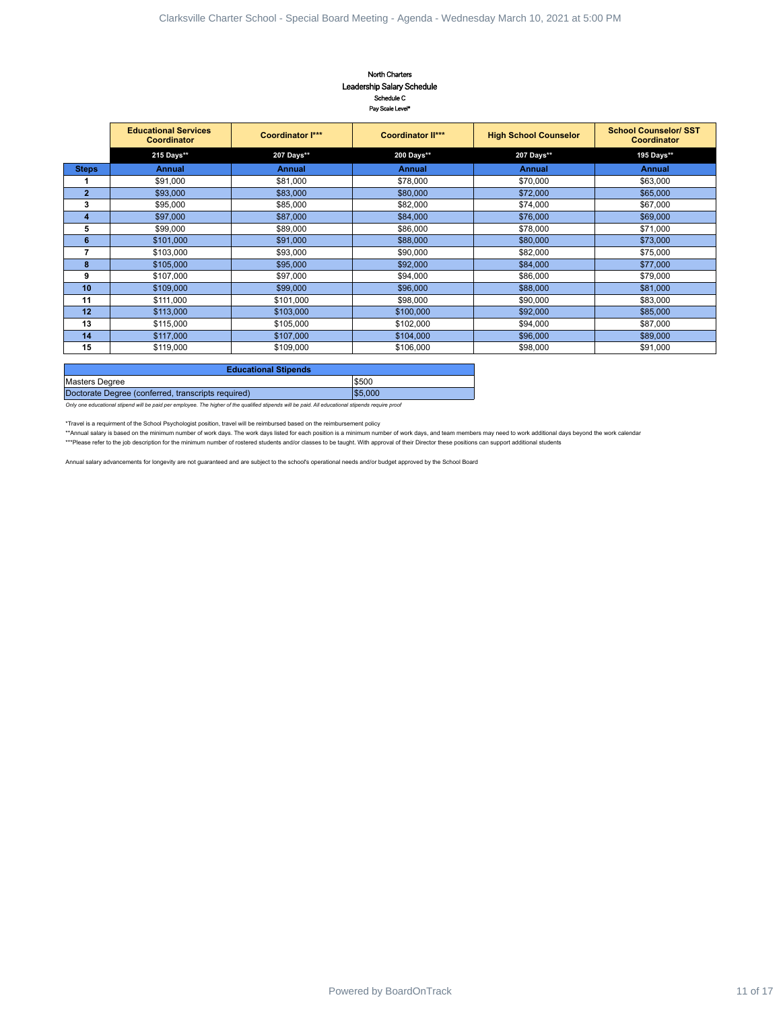#### North Charters Leadership Salary Schedule Schedule C Pay Scale Level\*

| <b>Educational Services</b><br>Coordinator<br>215 Days**<br>Annual<br>\$91,000<br>\$93,000<br>\$95,000<br>\$97,000<br>\$99,000<br>\$101,000<br>\$103,000<br>\$105,000<br>\$107,000 | Coordinator I***<br>207 Days**<br><b>Annual</b><br>\$81,000<br>\$83,000<br>\$85,000<br>\$87,000<br>\$89,000 | <b>Coordinator II***</b><br>200 Days**<br>Annual<br>\$78,000<br>\$80,000<br>\$82,000<br>\$84,000 | <b>High School Counselor</b><br>207 Days**<br><b>Annual</b><br>\$70,000<br>\$72,000                                                                                                                                                                                                    | <b>School Counselor/ SST</b><br>Coordinator<br>195 Days**<br><b>Annual</b><br>\$63,000<br>\$65,000                                                                                                                                                                                                                                                          |                                                                                                                                                                                                                  |
|------------------------------------------------------------------------------------------------------------------------------------------------------------------------------------|-------------------------------------------------------------------------------------------------------------|--------------------------------------------------------------------------------------------------|----------------------------------------------------------------------------------------------------------------------------------------------------------------------------------------------------------------------------------------------------------------------------------------|-------------------------------------------------------------------------------------------------------------------------------------------------------------------------------------------------------------------------------------------------------------------------------------------------------------------------------------------------------------|------------------------------------------------------------------------------------------------------------------------------------------------------------------------------------------------------------------|
|                                                                                                                                                                                    |                                                                                                             |                                                                                                  |                                                                                                                                                                                                                                                                                        |                                                                                                                                                                                                                                                                                                                                                             |                                                                                                                                                                                                                  |
|                                                                                                                                                                                    |                                                                                                             |                                                                                                  |                                                                                                                                                                                                                                                                                        |                                                                                                                                                                                                                                                                                                                                                             |                                                                                                                                                                                                                  |
|                                                                                                                                                                                    |                                                                                                             |                                                                                                  |                                                                                                                                                                                                                                                                                        |                                                                                                                                                                                                                                                                                                                                                             |                                                                                                                                                                                                                  |
|                                                                                                                                                                                    |                                                                                                             |                                                                                                  |                                                                                                                                                                                                                                                                                        |                                                                                                                                                                                                                                                                                                                                                             |                                                                                                                                                                                                                  |
|                                                                                                                                                                                    |                                                                                                             |                                                                                                  |                                                                                                                                                                                                                                                                                        |                                                                                                                                                                                                                                                                                                                                                             |                                                                                                                                                                                                                  |
|                                                                                                                                                                                    |                                                                                                             |                                                                                                  | \$74,000                                                                                                                                                                                                                                                                               | \$67,000                                                                                                                                                                                                                                                                                                                                                    |                                                                                                                                                                                                                  |
|                                                                                                                                                                                    |                                                                                                             | \$86,000                                                                                         | \$76,000<br>\$78,000                                                                                                                                                                                                                                                                   | \$69,000<br>\$71,000                                                                                                                                                                                                                                                                                                                                        |                                                                                                                                                                                                                  |
|                                                                                                                                                                                    | \$91,000                                                                                                    | \$88,000                                                                                         | \$80,000                                                                                                                                                                                                                                                                               | \$73,000                                                                                                                                                                                                                                                                                                                                                    |                                                                                                                                                                                                                  |
|                                                                                                                                                                                    | \$93,000                                                                                                    | \$90,000                                                                                         | \$82,000                                                                                                                                                                                                                                                                               | \$75,000                                                                                                                                                                                                                                                                                                                                                    |                                                                                                                                                                                                                  |
|                                                                                                                                                                                    | \$95,000                                                                                                    | \$92,000                                                                                         | \$84,000                                                                                                                                                                                                                                                                               | \$77,000                                                                                                                                                                                                                                                                                                                                                    |                                                                                                                                                                                                                  |
| \$109,000                                                                                                                                                                          | \$97,000<br>\$99,000                                                                                        | \$94,000<br>\$96,000                                                                             | \$86,000<br>\$88,000                                                                                                                                                                                                                                                                   | \$79,000<br>\$81,000                                                                                                                                                                                                                                                                                                                                        |                                                                                                                                                                                                                  |
| \$111,000                                                                                                                                                                          | \$101,000                                                                                                   | \$98,000                                                                                         | \$90,000                                                                                                                                                                                                                                                                               | \$83,000                                                                                                                                                                                                                                                                                                                                                    |                                                                                                                                                                                                                  |
| \$113,000                                                                                                                                                                          | \$103,000                                                                                                   | \$100,000                                                                                        | \$92,000                                                                                                                                                                                                                                                                               | \$85,000                                                                                                                                                                                                                                                                                                                                                    |                                                                                                                                                                                                                  |
| \$115,000<br>\$117,000                                                                                                                                                             | \$105,000<br>\$107,000                                                                                      | \$102,000<br>\$104,000                                                                           | \$94,000<br>\$96,000                                                                                                                                                                                                                                                                   | \$87,000<br>\$89,000                                                                                                                                                                                                                                                                                                                                        |                                                                                                                                                                                                                  |
| \$119,000                                                                                                                                                                          | \$109,000                                                                                                   | \$106,000                                                                                        | \$98,000                                                                                                                                                                                                                                                                               | \$91,000                                                                                                                                                                                                                                                                                                                                                    |                                                                                                                                                                                                                  |
|                                                                                                                                                                                    |                                                                                                             |                                                                                                  |                                                                                                                                                                                                                                                                                        |                                                                                                                                                                                                                                                                                                                                                             |                                                                                                                                                                                                                  |
|                                                                                                                                                                                    |                                                                                                             |                                                                                                  |                                                                                                                                                                                                                                                                                        |                                                                                                                                                                                                                                                                                                                                                             |                                                                                                                                                                                                                  |
|                                                                                                                                                                                    |                                                                                                             | \$5,000                                                                                          |                                                                                                                                                                                                                                                                                        |                                                                                                                                                                                                                                                                                                                                                             |                                                                                                                                                                                                                  |
|                                                                                                                                                                                    |                                                                                                             |                                                                                                  |                                                                                                                                                                                                                                                                                        |                                                                                                                                                                                                                                                                                                                                                             |                                                                                                                                                                                                                  |
|                                                                                                                                                                                    |                                                                                                             |                                                                                                  |                                                                                                                                                                                                                                                                                        |                                                                                                                                                                                                                                                                                                                                                             |                                                                                                                                                                                                                  |
|                                                                                                                                                                                    |                                                                                                             |                                                                                                  |                                                                                                                                                                                                                                                                                        |                                                                                                                                                                                                                                                                                                                                                             |                                                                                                                                                                                                                  |
|                                                                                                                                                                                    |                                                                                                             |                                                                                                  |                                                                                                                                                                                                                                                                                        |                                                                                                                                                                                                                                                                                                                                                             |                                                                                                                                                                                                                  |
|                                                                                                                                                                                    |                                                                                                             |                                                                                                  |                                                                                                                                                                                                                                                                                        |                                                                                                                                                                                                                                                                                                                                                             |                                                                                                                                                                                                                  |
|                                                                                                                                                                                    |                                                                                                             |                                                                                                  |                                                                                                                                                                                                                                                                                        |                                                                                                                                                                                                                                                                                                                                                             |                                                                                                                                                                                                                  |
|                                                                                                                                                                                    |                                                                                                             |                                                                                                  |                                                                                                                                                                                                                                                                                        |                                                                                                                                                                                                                                                                                                                                                             |                                                                                                                                                                                                                  |
|                                                                                                                                                                                    |                                                                                                             |                                                                                                  |                                                                                                                                                                                                                                                                                        |                                                                                                                                                                                                                                                                                                                                                             |                                                                                                                                                                                                                  |
|                                                                                                                                                                                    | Masters Degree                                                                                              | <b>Educational Stipends</b><br>Doctorate Degree (conferred, transcripts required)                | \$500<br>Only one educational stipend will be paid per employee. The higher of the qualified stipends will be paid. All educational stipends require proof<br>*Travel is a requirment of the School Psychologist position, travel will be reimbursed based on the reimbursement policy | ***Please refer to the job description for the minimum number of rostered students and/or classes to be taught. With approval of their Director these positions can support additional students<br>Annual salary advancements for longevity are not guaranteed and are subject to the school's operational needs and/or budget approved by the School Board | **Annual salary is based on the minimum number of work days. The work days listed for each position is a minimum number of work days, and team members may need to work additional days beyond the work calendar |

| <b>Educational Stipends</b>                        |        |
|----------------------------------------------------|--------|
| Masters Degree                                     | \$500  |
| Doctorate Degree (conferred, transcripts required) | 55,000 |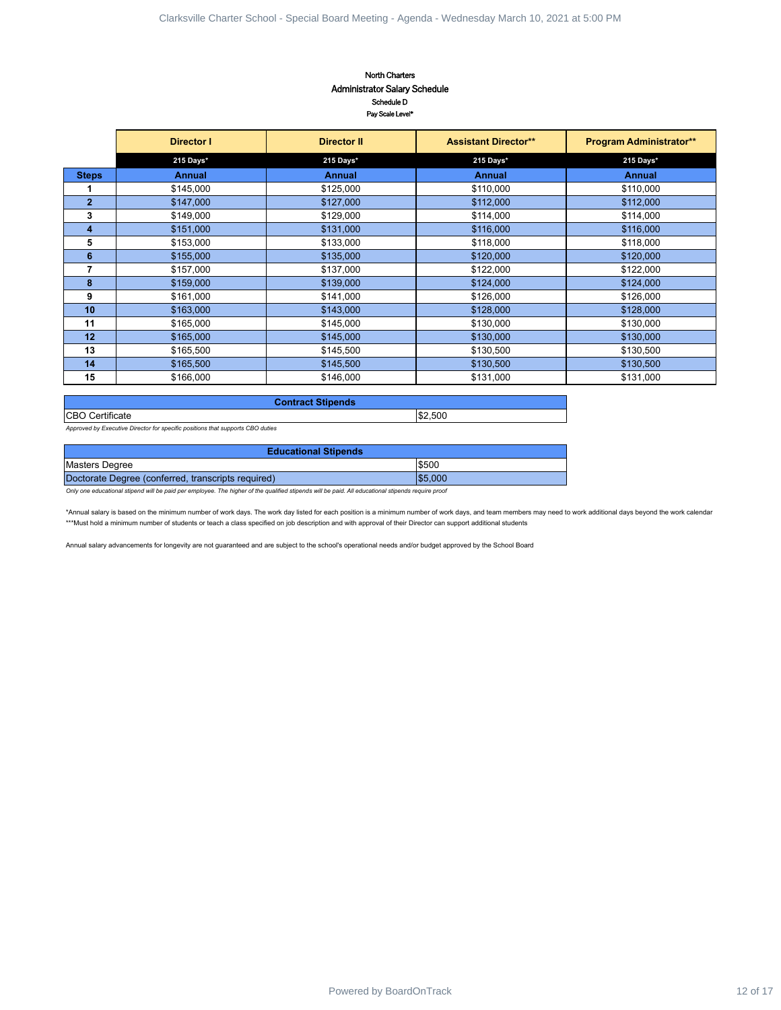### North Charters Administrator Salary Schedule Schedule D Pay Scale Level\*

| Director I<br>215 Days*<br><b>Annual</b><br>\$145,000<br>\$147,000<br>\$149,000<br>\$151,000<br>\$153,000<br>\$155,000<br>\$157,000<br>\$159,000<br>\$161,000<br>\$163,000<br>\$165,000<br>\$165,000<br>\$165,500<br>\$165,500<br>\$166,000<br>Approved by Executive Director for specific positions that supports CBO duties<br>Doctorate Degree (conferred, transcripts required) | Schedule D<br>Pay Scale Level*<br><b>Director II</b><br>215 Days*<br><b>Annual</b><br>\$125,000<br>\$127,000<br>\$129,000<br>\$131,000<br>\$133,000<br>\$135,000<br>\$137,000<br>\$139,000<br>\$141,000<br>\$143,000<br>\$145,000<br>\$145,000<br>\$145,500<br>\$145,500<br>\$146,000<br><b>Contract Stipends</b><br><b>Educational Stipends</b><br>Only one educational stipend will be paid per employee. The higher of the qualified stipends will be paid. All educational stipends require proof | <b>Assistant Director**</b><br>215 Days*<br><b>Annual</b><br>\$110,000<br>\$112,000<br>\$114,000<br>\$116,000<br>\$118,000<br>\$120,000<br>\$122,000<br>\$124,000<br>\$126,000<br>\$128,000<br>\$130,000<br>\$130,000<br>\$130,500<br>\$130,500<br>\$131,000<br>\$2,500<br>\$500<br>\$5,000<br>*Annual salary is based on the minimum number of work days. The work day listed for each position is a minimum number of work days, and team members may need to work additional days beyond the work calendar<br>***Must hold a minimum number of students or teach a class specified on job description and with approval of their Director can support additional students | Program Administrator**<br>215 Days*<br><b>Annual</b><br>\$110,000<br>\$112,000<br>\$114,000<br>\$116,000<br>\$118,000<br>\$120,000<br>\$122,000<br>\$124,000<br>\$126,000<br>\$128,000<br>\$130,000<br>\$130,000<br>\$130,500<br>\$130,500<br>\$131,000 |
|-------------------------------------------------------------------------------------------------------------------------------------------------------------------------------------------------------------------------------------------------------------------------------------------------------------------------------------------------------------------------------------|-------------------------------------------------------------------------------------------------------------------------------------------------------------------------------------------------------------------------------------------------------------------------------------------------------------------------------------------------------------------------------------------------------------------------------------------------------------------------------------------------------|------------------------------------------------------------------------------------------------------------------------------------------------------------------------------------------------------------------------------------------------------------------------------------------------------------------------------------------------------------------------------------------------------------------------------------------------------------------------------------------------------------------------------------------------------------------------------------------------------------------------------------------------------------------------------|----------------------------------------------------------------------------------------------------------------------------------------------------------------------------------------------------------------------------------------------------------|
|                                                                                                                                                                                                                                                                                                                                                                                     |                                                                                                                                                                                                                                                                                                                                                                                                                                                                                                       |                                                                                                                                                                                                                                                                                                                                                                                                                                                                                                                                                                                                                                                                              |                                                                                                                                                                                                                                                          |
|                                                                                                                                                                                                                                                                                                                                                                                     |                                                                                                                                                                                                                                                                                                                                                                                                                                                                                                       |                                                                                                                                                                                                                                                                                                                                                                                                                                                                                                                                                                                                                                                                              |                                                                                                                                                                                                                                                          |
|                                                                                                                                                                                                                                                                                                                                                                                     |                                                                                                                                                                                                                                                                                                                                                                                                                                                                                                       |                                                                                                                                                                                                                                                                                                                                                                                                                                                                                                                                                                                                                                                                              |                                                                                                                                                                                                                                                          |
|                                                                                                                                                                                                                                                                                                                                                                                     |                                                                                                                                                                                                                                                                                                                                                                                                                                                                                                       |                                                                                                                                                                                                                                                                                                                                                                                                                                                                                                                                                                                                                                                                              |                                                                                                                                                                                                                                                          |
|                                                                                                                                                                                                                                                                                                                                                                                     |                                                                                                                                                                                                                                                                                                                                                                                                                                                                                                       |                                                                                                                                                                                                                                                                                                                                                                                                                                                                                                                                                                                                                                                                              |                                                                                                                                                                                                                                                          |
|                                                                                                                                                                                                                                                                                                                                                                                     |                                                                                                                                                                                                                                                                                                                                                                                                                                                                                                       |                                                                                                                                                                                                                                                                                                                                                                                                                                                                                                                                                                                                                                                                              |                                                                                                                                                                                                                                                          |
|                                                                                                                                                                                                                                                                                                                                                                                     |                                                                                                                                                                                                                                                                                                                                                                                                                                                                                                       |                                                                                                                                                                                                                                                                                                                                                                                                                                                                                                                                                                                                                                                                              |                                                                                                                                                                                                                                                          |
|                                                                                                                                                                                                                                                                                                                                                                                     |                                                                                                                                                                                                                                                                                                                                                                                                                                                                                                       |                                                                                                                                                                                                                                                                                                                                                                                                                                                                                                                                                                                                                                                                              |                                                                                                                                                                                                                                                          |
|                                                                                                                                                                                                                                                                                                                                                                                     |                                                                                                                                                                                                                                                                                                                                                                                                                                                                                                       |                                                                                                                                                                                                                                                                                                                                                                                                                                                                                                                                                                                                                                                                              |                                                                                                                                                                                                                                                          |
|                                                                                                                                                                                                                                                                                                                                                                                     |                                                                                                                                                                                                                                                                                                                                                                                                                                                                                                       |                                                                                                                                                                                                                                                                                                                                                                                                                                                                                                                                                                                                                                                                              |                                                                                                                                                                                                                                                          |
|                                                                                                                                                                                                                                                                                                                                                                                     |                                                                                                                                                                                                                                                                                                                                                                                                                                                                                                       |                                                                                                                                                                                                                                                                                                                                                                                                                                                                                                                                                                                                                                                                              |                                                                                                                                                                                                                                                          |
|                                                                                                                                                                                                                                                                                                                                                                                     |                                                                                                                                                                                                                                                                                                                                                                                                                                                                                                       |                                                                                                                                                                                                                                                                                                                                                                                                                                                                                                                                                                                                                                                                              |                                                                                                                                                                                                                                                          |
|                                                                                                                                                                                                                                                                                                                                                                                     |                                                                                                                                                                                                                                                                                                                                                                                                                                                                                                       |                                                                                                                                                                                                                                                                                                                                                                                                                                                                                                                                                                                                                                                                              |                                                                                                                                                                                                                                                          |
|                                                                                                                                                                                                                                                                                                                                                                                     |                                                                                                                                                                                                                                                                                                                                                                                                                                                                                                       |                                                                                                                                                                                                                                                                                                                                                                                                                                                                                                                                                                                                                                                                              |                                                                                                                                                                                                                                                          |
|                                                                                                                                                                                                                                                                                                                                                                                     |                                                                                                                                                                                                                                                                                                                                                                                                                                                                                                       |                                                                                                                                                                                                                                                                                                                                                                                                                                                                                                                                                                                                                                                                              |                                                                                                                                                                                                                                                          |
|                                                                                                                                                                                                                                                                                                                                                                                     |                                                                                                                                                                                                                                                                                                                                                                                                                                                                                                       |                                                                                                                                                                                                                                                                                                                                                                                                                                                                                                                                                                                                                                                                              |                                                                                                                                                                                                                                                          |
|                                                                                                                                                                                                                                                                                                                                                                                     |                                                                                                                                                                                                                                                                                                                                                                                                                                                                                                       |                                                                                                                                                                                                                                                                                                                                                                                                                                                                                                                                                                                                                                                                              |                                                                                                                                                                                                                                                          |
|                                                                                                                                                                                                                                                                                                                                                                                     |                                                                                                                                                                                                                                                                                                                                                                                                                                                                                                       |                                                                                                                                                                                                                                                                                                                                                                                                                                                                                                                                                                                                                                                                              |                                                                                                                                                                                                                                                          |
|                                                                                                                                                                                                                                                                                                                                                                                     |                                                                                                                                                                                                                                                                                                                                                                                                                                                                                                       |                                                                                                                                                                                                                                                                                                                                                                                                                                                                                                                                                                                                                                                                              |                                                                                                                                                                                                                                                          |
|                                                                                                                                                                                                                                                                                                                                                                                     |                                                                                                                                                                                                                                                                                                                                                                                                                                                                                                       |                                                                                                                                                                                                                                                                                                                                                                                                                                                                                                                                                                                                                                                                              |                                                                                                                                                                                                                                                          |
|                                                                                                                                                                                                                                                                                                                                                                                     |                                                                                                                                                                                                                                                                                                                                                                                                                                                                                                       |                                                                                                                                                                                                                                                                                                                                                                                                                                                                                                                                                                                                                                                                              |                                                                                                                                                                                                                                                          |
|                                                                                                                                                                                                                                                                                                                                                                                     |                                                                                                                                                                                                                                                                                                                                                                                                                                                                                                       |                                                                                                                                                                                                                                                                                                                                                                                                                                                                                                                                                                                                                                                                              |                                                                                                                                                                                                                                                          |
|                                                                                                                                                                                                                                                                                                                                                                                     |                                                                                                                                                                                                                                                                                                                                                                                                                                                                                                       |                                                                                                                                                                                                                                                                                                                                                                                                                                                                                                                                                                                                                                                                              |                                                                                                                                                                                                                                                          |
|                                                                                                                                                                                                                                                                                                                                                                                     |                                                                                                                                                                                                                                                                                                                                                                                                                                                                                                       | Annual salary advancements for longevity are not guaranteed and are subject to the school's operational needs and/or budget approved by the School Board                                                                                                                                                                                                                                                                                                                                                                                                                                                                                                                     |                                                                                                                                                                                                                                                          |
|                                                                                                                                                                                                                                                                                                                                                                                     |                                                                                                                                                                                                                                                                                                                                                                                                                                                                                                       |                                                                                                                                                                                                                                                                                                                                                                                                                                                                                                                                                                                                                                                                              |                                                                                                                                                                                                                                                          |
|                                                                                                                                                                                                                                                                                                                                                                                     |                                                                                                                                                                                                                                                                                                                                                                                                                                                                                                       |                                                                                                                                                                                                                                                                                                                                                                                                                                                                                                                                                                                                                                                                              |                                                                                                                                                                                                                                                          |
|                                                                                                                                                                                                                                                                                                                                                                                     |                                                                                                                                                                                                                                                                                                                                                                                                                                                                                                       |                                                                                                                                                                                                                                                                                                                                                                                                                                                                                                                                                                                                                                                                              |                                                                                                                                                                                                                                                          |
|                                                                                                                                                                                                                                                                                                                                                                                     |                                                                                                                                                                                                                                                                                                                                                                                                                                                                                                       |                                                                                                                                                                                                                                                                                                                                                                                                                                                                                                                                                                                                                                                                              |                                                                                                                                                                                                                                                          |
|                                                                                                                                                                                                                                                                                                                                                                                     |                                                                                                                                                                                                                                                                                                                                                                                                                                                                                                       |                                                                                                                                                                                                                                                                                                                                                                                                                                                                                                                                                                                                                                                                              |                                                                                                                                                                                                                                                          |
|                                                                                                                                                                                                                                                                                                                                                                                     |                                                                                                                                                                                                                                                                                                                                                                                                                                                                                                       |                                                                                                                                                                                                                                                                                                                                                                                                                                                                                                                                                                                                                                                                              |                                                                                                                                                                                                                                                          |
|                                                                                                                                                                                                                                                                                                                                                                                     |                                                                                                                                                                                                                                                                                                                                                                                                                                                                                                       |                                                                                                                                                                                                                                                                                                                                                                                                                                                                                                                                                                                                                                                                              |                                                                                                                                                                                                                                                          |
|                                                                                                                                                                                                                                                                                                                                                                                     |                                                                                                                                                                                                                                                                                                                                                                                                                                                                                                       |                                                                                                                                                                                                                                                                                                                                                                                                                                                                                                                                                                                                                                                                              |                                                                                                                                                                                                                                                          |
|                                                                                                                                                                                                                                                                                                                                                                                     |                                                                                                                                                                                                                                                                                                                                                                                                                                                                                                       |                                                                                                                                                                                                                                                                                                                                                                                                                                                                                                                                                                                                                                                                              |                                                                                                                                                                                                                                                          |
|                                                                                                                                                                                                                                                                                                                                                                                     |                                                                                                                                                                                                                                                                                                                                                                                                                                                                                                       |                                                                                                                                                                                                                                                                                                                                                                                                                                                                                                                                                                                                                                                                              |                                                                                                                                                                                                                                                          |
|                                                                                                                                                                                                                                                                                                                                                                                     |                                                                                                                                                                                                                                                                                                                                                                                                                                                                                                       |                                                                                                                                                                                                                                                                                                                                                                                                                                                                                                                                                                                                                                                                              |                                                                                                                                                                                                                                                          |
|                                                                                                                                                                                                                                                                                                                                                                                     |                                                                                                                                                                                                                                                                                                                                                                                                                                                                                                       |                                                                                                                                                                                                                                                                                                                                                                                                                                                                                                                                                                                                                                                                              |                                                                                                                                                                                                                                                          |
|                                                                                                                                                                                                                                                                                                                                                                                     |                                                                                                                                                                                                                                                                                                                                                                                                                                                                                                       |                                                                                                                                                                                                                                                                                                                                                                                                                                                                                                                                                                                                                                                                              |                                                                                                                                                                                                                                                          |
|                                                                                                                                                                                                                                                                                                                                                                                     |                                                                                                                                                                                                                                                                                                                                                                                                                                                                                                       |                                                                                                                                                                                                                                                                                                                                                                                                                                                                                                                                                                                                                                                                              |                                                                                                                                                                                                                                                          |
|                                                                                                                                                                                                                                                                                                                                                                                     |                                                                                                                                                                                                                                                                                                                                                                                                                                                                                                       |                                                                                                                                                                                                                                                                                                                                                                                                                                                                                                                                                                                                                                                                              |                                                                                                                                                                                                                                                          |
|                                                                                                                                                                                                                                                                                                                                                                                     |                                                                                                                                                                                                                                                                                                                                                                                                                                                                                                       |                                                                                                                                                                                                                                                                                                                                                                                                                                                                                                                                                                                                                                                                              |                                                                                                                                                                                                                                                          |
|                                                                                                                                                                                                                                                                                                                                                                                     |                                                                                                                                                                                                                                                                                                                                                                                                                                                                                                       |                                                                                                                                                                                                                                                                                                                                                                                                                                                                                                                                                                                                                                                                              |                                                                                                                                                                                                                                                          |
|                                                                                                                                                                                                                                                                                                                                                                                     |                                                                                                                                                                                                                                                                                                                                                                                                                                                                                                       |                                                                                                                                                                                                                                                                                                                                                                                                                                                                                                                                                                                                                                                                              |                                                                                                                                                                                                                                                          |
|                                                                                                                                                                                                                                                                                                                                                                                     |                                                                                                                                                                                                                                                                                                                                                                                                                                                                                                       |                                                                                                                                                                                                                                                                                                                                                                                                                                                                                                                                                                                                                                                                              |                                                                                                                                                                                                                                                          |
|                                                                                                                                                                                                                                                                                                                                                                                     |                                                                                                                                                                                                                                                                                                                                                                                                                                                                                                       |                                                                                                                                                                                                                                                                                                                                                                                                                                                                                                                                                                                                                                                                              |                                                                                                                                                                                                                                                          |
|                                                                                                                                                                                                                                                                                                                                                                                     |                                                                                                                                                                                                                                                                                                                                                                                                                                                                                                       |                                                                                                                                                                                                                                                                                                                                                                                                                                                                                                                                                                                                                                                                              |                                                                                                                                                                                                                                                          |
|                                                                                                                                                                                                                                                                                                                                                                                     |                                                                                                                                                                                                                                                                                                                                                                                                                                                                                                       |                                                                                                                                                                                                                                                                                                                                                                                                                                                                                                                                                                                                                                                                              |                                                                                                                                                                                                                                                          |
|                                                                                                                                                                                                                                                                                                                                                                                     |                                                                                                                                                                                                                                                                                                                                                                                                                                                                                                       |                                                                                                                                                                                                                                                                                                                                                                                                                                                                                                                                                                                                                                                                              |                                                                                                                                                                                                                                                          |
|                                                                                                                                                                                                                                                                                                                                                                                     |                                                                                                                                                                                                                                                                                                                                                                                                                                                                                                       |                                                                                                                                                                                                                                                                                                                                                                                                                                                                                                                                                                                                                                                                              |                                                                                                                                                                                                                                                          |
|                                                                                                                                                                                                                                                                                                                                                                                     |                                                                                                                                                                                                                                                                                                                                                                                                                                                                                                       |                                                                                                                                                                                                                                                                                                                                                                                                                                                                                                                                                                                                                                                                              |                                                                                                                                                                                                                                                          |
|                                                                                                                                                                                                                                                                                                                                                                                     |                                                                                                                                                                                                                                                                                                                                                                                                                                                                                                       |                                                                                                                                                                                                                                                                                                                                                                                                                                                                                                                                                                                                                                                                              |                                                                                                                                                                                                                                                          |

| <b>Contract Stipends</b> |         |
|--------------------------|---------|
| <b>CBO</b> Certificate   | \$2,500 |

| <b>Educational Stipends</b>                        |         |
|----------------------------------------------------|---------|
| Masters Degree                                     | \$500   |
| Doctorate Degree (conferred, transcripts required) | \$5.000 |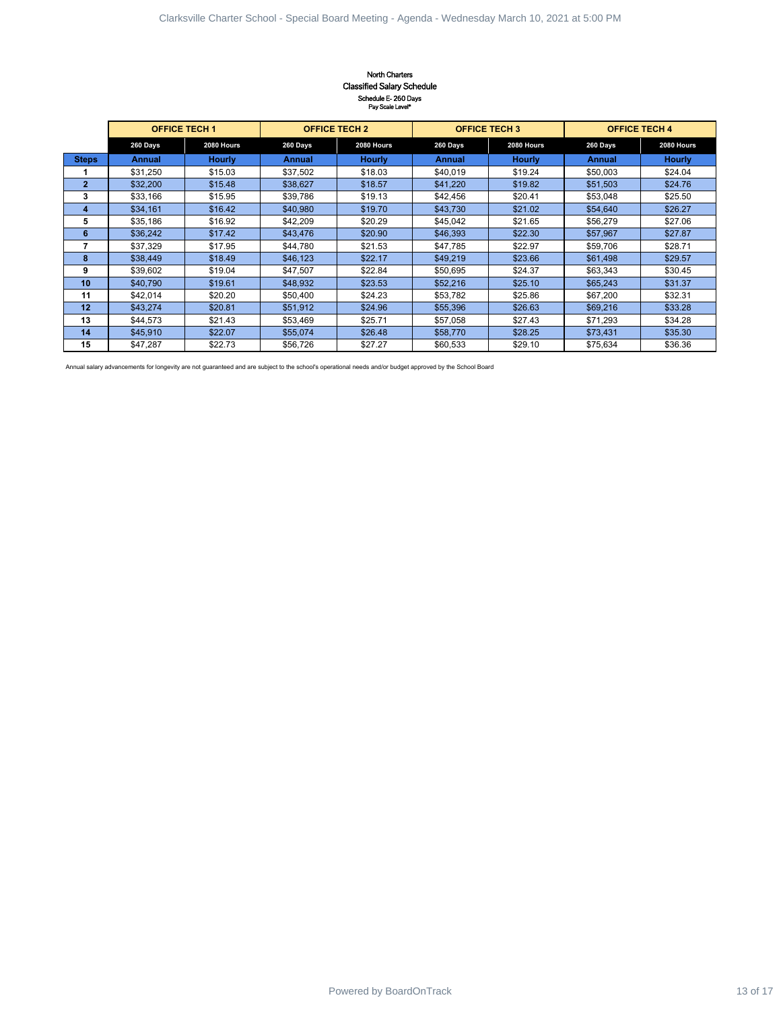## North Charters Classified Salary Schedule Schedule E- 260 Days Pay Scale Level\*

|                              |                      |                      |                      | North Charters<br><b>Classified Salary Schedule</b><br>Schedule E-260 Days |                      |                      |                      |                    |  |
|------------------------------|----------------------|----------------------|----------------------|----------------------------------------------------------------------------|----------------------|----------------------|----------------------|--------------------|--|
|                              |                      | <b>OFFICE TECH 1</b> |                      | Pay Scale Level*<br><b>OFFICE TECH 2</b>                                   |                      | <b>OFFICE TECH 3</b> | <b>OFFICE TECH 4</b> |                    |  |
|                              | 260 Days             | 2080 Hours           | 260 Days             | 2080 Hours                                                                 | 260 Days             | 2080 Hours           | 260 Days             | 2080 Hours         |  |
| <b>Steps</b>                 | <b>Annual</b>        | <b>Hourly</b>        | <b>Annual</b>        | <b>Hourly</b>                                                              | <b>Annual</b>        | <b>Hourly</b>        | Annual               | <b>Hourly</b>      |  |
| 1                            | \$31,250             | \$15.03              | \$37,502             | \$18.03                                                                    | \$40,019             | \$19.24              | \$50,003             | \$24.04            |  |
| $\mathbf 2$                  | \$32,200             | \$15.48              | \$38,627             | \$18.57                                                                    | \$41,220             | \$19.82              | \$51,503             | \$24.76            |  |
| 3                            | \$33,166             | \$15.95              | \$39,786             | \$19.13                                                                    | \$42,456             | \$20.41              | \$53,048             | \$25.50            |  |
| $\overline{\mathbf{4}}$<br>5 | \$34,161<br>\$35,186 | \$16.42<br>\$16.92   | \$40,980<br>\$42,209 | \$19.70<br>\$20.29                                                         | \$43,730<br>\$45,042 | \$21.02<br>\$21.65   | \$54,640<br>\$56,279 | \$26.27<br>\$27.06 |  |
| $6\phantom{.}$               | \$36,242             | \$17.42              | \$43,476             | \$20.90                                                                    | \$46,393             | \$22.30              | \$57,967             | \$27.87            |  |
| $\overline{7}$               | \$37,329             | \$17.95              | \$44,780             | \$21.53                                                                    | \$47,785             | \$22.97              | \$59,706             | \$28.71            |  |
| $\bf8$                       | \$38,449             | \$18.49              | \$46,123             | \$22.17                                                                    | \$49,219             | \$23.66              | \$61,498             | \$29.57            |  |
| 9                            | \$39,602             | \$19.04              | \$47,507             | \$22.84                                                                    | \$50,695             | \$24.37              | \$63,343             | \$30.45            |  |
| 10                           | \$40,790             | \$19.61              | \$48,932             | \$23.53                                                                    | \$52,216             | \$25.10              | \$65,243             | \$31.37            |  |
| 11<br>12                     | \$42,014<br>\$43,274 | \$20.20<br>\$20.81   | \$50,400<br>\$51,912 | \$24.23                                                                    | \$53,782<br>\$55,396 | \$25.86<br>\$26.63   | \$67,200<br>\$69,216 | \$32.31<br>\$33.28 |  |
| 13                           | \$44,573             | \$21.43              | \$53,469             | \$24.96<br>\$25.71                                                         | \$57,058             | \$27.43              | \$71,293             | \$34.28            |  |
| 14                           | \$45,910             | \$22.07              | \$55,074             | \$26.48                                                                    | \$58,770             | \$28.25              | \$73,431             | \$35.30            |  |
| 15                           | \$47,287             | \$22.73              | \$56,726             | \$27.27                                                                    | \$60,533             | \$29.10              | \$75,634             | \$36.36            |  |
|                              |                      |                      |                      |                                                                            |                      |                      |                      |                    |  |
|                              |                      |                      |                      |                                                                            |                      |                      |                      |                    |  |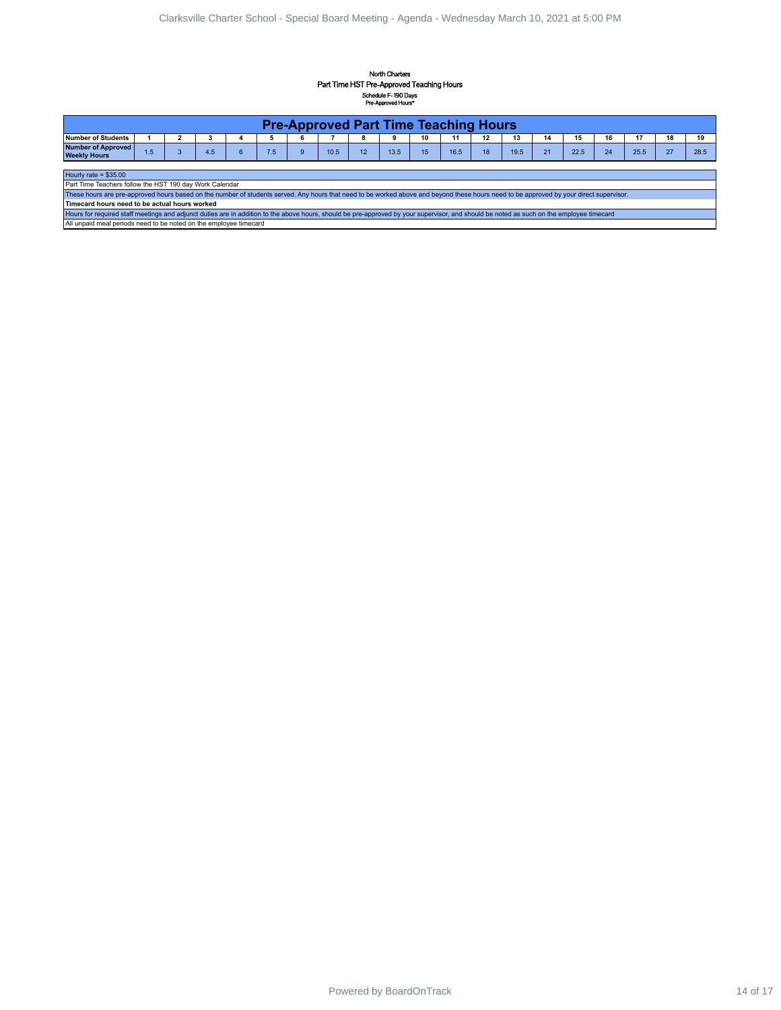## North Charter Part Time HST Pre-Approved Teaching Hours Schedule F- 190 Days Pre-Approved Hours\*

|                                                                                                                                                                                                                                                    |                     |                              |                         |                                    |            |                   | Part Time HST Pre-Approved Teaching Hours    |         | North Charters<br>Schedule F-190 Days |          |            |          |            |          |            |          |            |              |            |  |
|----------------------------------------------------------------------------------------------------------------------------------------------------------------------------------------------------------------------------------------------------|---------------------|------------------------------|-------------------------|------------------------------------|------------|-------------------|----------------------------------------------|---------|---------------------------------------|----------|------------|----------|------------|----------|------------|----------|------------|--------------|------------|--|
|                                                                                                                                                                                                                                                    |                     |                              |                         |                                    |            |                   | <b>Pre-Approved Part Time Teaching Hours</b> |         | Pre-Approved Hours*                   |          |            |          |            |          |            |          |            |              |            |  |
| Number of Students<br><b>Number of Approved</b><br>Weekly Hours                                                                                                                                                                                    | $\mathbf{1}$<br>1.5 | $\mathbf{2}$<br>$\mathbf{3}$ | $\mathbf{3}$<br>$4.5\,$ | $\overline{\mathbf{4}}$<br>$\bf 6$ | 5<br>$7.5$ | 6<br>$\mathsf{9}$ | $\overline{7}$<br>$10.5$                     | 8<br>12 | 9<br>13.5                             | 10<br>15 | 11<br>16.5 | 12<br>18 | 13<br>19.5 | 14<br>21 | 15<br>22.5 | 16<br>24 | 17<br>25.5 | 18<br>$27\,$ | 19<br>28.5 |  |
| Hourly rate = $$35.00$                                                                                                                                                                                                                             |                     |                              |                         |                                    |            |                   |                                              |         |                                       |          |            |          |            |          |            |          |            |              |            |  |
| Part Time Teachers follow the HST 190 day Work Calendar<br>These hours are pre-approved hours based on the number of students served. Any hours that need to be worked above and beyond these hours need to be approved by your direct supervisor. |                     |                              |                         |                                    |            |                   |                                              |         |                                       |          |            |          |            |          |            |          |            |              |            |  |
| Timecard hours need to be actual hours worked<br>Hours for required staff meetings and adjunct duties are in addition to the above hours, should be pre-approved by your supervisor, and should be noted as such on the employee timecard          |                     |                              |                         |                                    |            |                   |                                              |         |                                       |          |            |          |            |          |            |          |            |              |            |  |
| All unpaid meal periods need to be noted on the employee timecard                                                                                                                                                                                  |                     |                              |                         |                                    |            |                   |                                              |         |                                       |          |            |          |            |          |            |          |            |              |            |  |
|                                                                                                                                                                                                                                                    |                     |                              |                         |                                    |            |                   |                                              |         |                                       |          |            |          |            |          |            |          |            |              |            |  |
|                                                                                                                                                                                                                                                    |                     |                              |                         |                                    |            |                   |                                              |         |                                       |          |            |          |            |          |            |          |            |              |            |  |
|                                                                                                                                                                                                                                                    |                     |                              |                         |                                    |            |                   |                                              |         |                                       |          |            |          |            |          |            |          |            |              |            |  |
|                                                                                                                                                                                                                                                    |                     |                              |                         |                                    |            |                   |                                              |         |                                       |          |            |          |            |          |            |          |            |              |            |  |
|                                                                                                                                                                                                                                                    |                     |                              |                         |                                    |            |                   |                                              |         |                                       |          |            |          |            |          |            |          |            |              |            |  |
|                                                                                                                                                                                                                                                    |                     |                              |                         |                                    |            |                   |                                              |         |                                       |          |            |          |            |          |            |          |            |              |            |  |
|                                                                                                                                                                                                                                                    |                     |                              |                         |                                    |            |                   |                                              |         |                                       |          |            |          |            |          |            |          |            |              |            |  |
|                                                                                                                                                                                                                                                    |                     |                              |                         |                                    |            |                   |                                              |         |                                       |          |            |          |            |          |            |          |            |              |            |  |
|                                                                                                                                                                                                                                                    |                     |                              |                         |                                    |            |                   |                                              |         |                                       |          |            |          |            |          |            |          |            |              |            |  |
|                                                                                                                                                                                                                                                    |                     |                              |                         |                                    |            |                   |                                              |         |                                       |          |            |          |            |          |            |          |            |              |            |  |
|                                                                                                                                                                                                                                                    |                     |                              |                         |                                    |            |                   |                                              |         |                                       |          |            |          |            |          |            |          |            |              |            |  |
|                                                                                                                                                                                                                                                    |                     |                              |                         |                                    |            |                   |                                              |         |                                       |          |            |          |            |          |            |          |            |              |            |  |
|                                                                                                                                                                                                                                                    |                     |                              |                         |                                    |            |                   |                                              |         |                                       |          |            |          |            |          |            |          |            |              |            |  |
|                                                                                                                                                                                                                                                    |                     |                              |                         |                                    |            |                   |                                              |         |                                       |          |            |          |            |          |            |          |            |              |            |  |
|                                                                                                                                                                                                                                                    |                     |                              |                         |                                    |            |                   |                                              |         |                                       |          |            |          |            |          |            |          |            |              |            |  |
|                                                                                                                                                                                                                                                    |                     |                              |                         |                                    |            |                   |                                              |         |                                       |          |            |          |            |          |            |          |            |              |            |  |
|                                                                                                                                                                                                                                                    |                     |                              |                         |                                    |            |                   |                                              |         |                                       |          |            |          |            |          |            |          |            |              |            |  |
|                                                                                                                                                                                                                                                    |                     |                              |                         |                                    |            |                   |                                              |         |                                       |          |            |          |            |          |            |          |            |              |            |  |
|                                                                                                                                                                                                                                                    |                     |                              |                         |                                    |            |                   |                                              |         |                                       |          |            |          |            |          |            |          |            |              |            |  |
|                                                                                                                                                                                                                                                    |                     |                              |                         |                                    |            |                   |                                              |         |                                       |          |            |          |            |          |            |          |            |              |            |  |
|                                                                                                                                                                                                                                                    |                     |                              |                         |                                    |            |                   |                                              |         |                                       |          |            |          |            |          |            |          |            |              |            |  |
|                                                                                                                                                                                                                                                    |                     |                              |                         |                                    |            |                   |                                              |         |                                       |          |            |          |            |          |            |          |            |              |            |  |
|                                                                                                                                                                                                                                                    |                     |                              |                         |                                    |            |                   |                                              |         |                                       |          |            |          |            |          |            |          |            |              |            |  |
|                                                                                                                                                                                                                                                    |                     |                              |                         |                                    |            |                   |                                              |         |                                       |          |            |          |            |          |            |          |            |              |            |  |
|                                                                                                                                                                                                                                                    |                     |                              |                         |                                    |            |                   |                                              |         |                                       |          |            |          |            |          |            |          |            |              |            |  |
|                                                                                                                                                                                                                                                    |                     |                              |                         |                                    |            |                   |                                              |         |                                       |          |            |          |            |          |            |          |            |              |            |  |
|                                                                                                                                                                                                                                                    |                     |                              |                         |                                    |            |                   |                                              |         |                                       |          |            |          |            |          |            |          |            |              |            |  |
|                                                                                                                                                                                                                                                    |                     |                              |                         |                                    |            |                   |                                              |         |                                       |          |            |          |            |          |            |          |            |              |            |  |
|                                                                                                                                                                                                                                                    |                     |                              |                         |                                    |            |                   |                                              |         |                                       |          |            |          |            |          |            |          |            |              |            |  |
|                                                                                                                                                                                                                                                    |                     |                              |                         |                                    |            |                   |                                              |         |                                       |          |            |          |            |          |            |          |            |              |            |  |
|                                                                                                                                                                                                                                                    |                     |                              |                         |                                    |            |                   |                                              |         |                                       |          |            |          |            |          |            |          |            |              |            |  |
|                                                                                                                                                                                                                                                    |                     |                              |                         |                                    |            |                   |                                              |         |                                       |          |            |          |            |          |            |          |            |              |            |  |
|                                                                                                                                                                                                                                                    |                     |                              |                         |                                    |            |                   |                                              |         |                                       |          |            |          |            |          |            |          |            |              |            |  |
|                                                                                                                                                                                                                                                    |                     |                              |                         |                                    |            |                   |                                              |         |                                       |          |            |          |            |          |            |          |            |              |            |  |
|                                                                                                                                                                                                                                                    |                     |                              |                         |                                    |            |                   |                                              |         |                                       |          |            |          |            |          |            |          |            |              |            |  |
|                                                                                                                                                                                                                                                    |                     |                              |                         |                                    |            |                   |                                              |         |                                       |          |            |          |            |          |            |          |            |              |            |  |
|                                                                                                                                                                                                                                                    |                     |                              |                         |                                    |            |                   |                                              |         |                                       |          |            |          |            |          |            |          |            |              |            |  |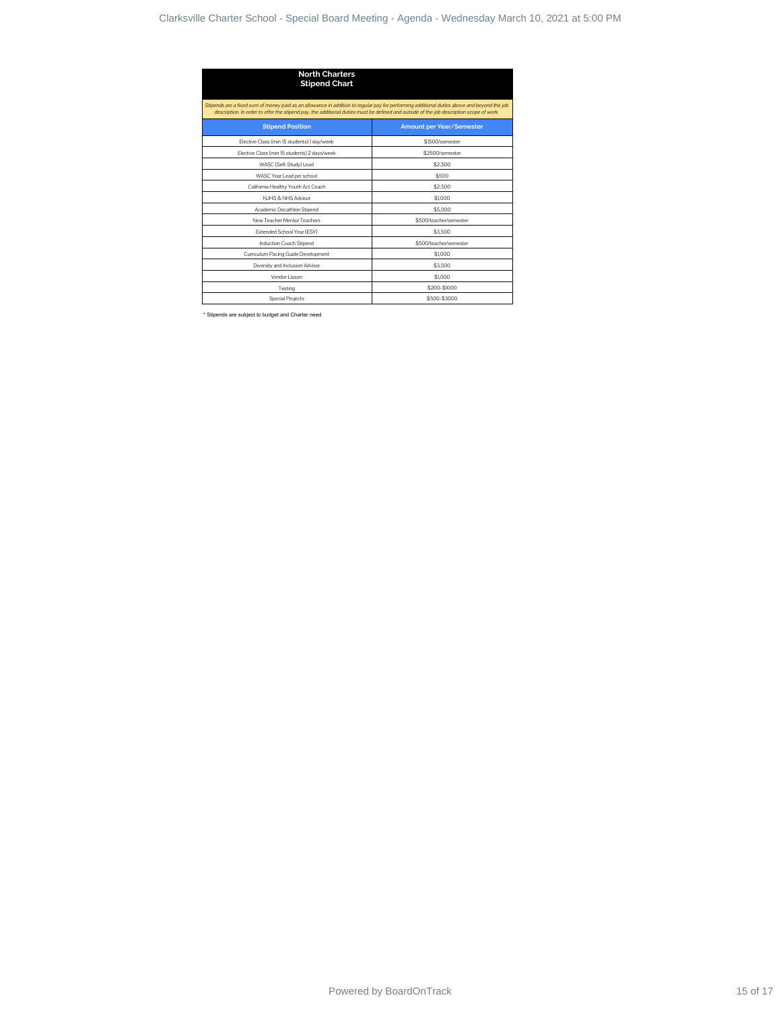| <b>North Charters</b><br><b>Stipend Chart</b>                                                                                                                                                                                                                                          |                          |  |
|----------------------------------------------------------------------------------------------------------------------------------------------------------------------------------------------------------------------------------------------------------------------------------------|--------------------------|--|
| Stipends are a fixed sum of money paid as an allowance in addition to regular pay for performing additional duties above and beyond the job<br>description. In order to offer the stipend pay, the additional duties must be defined and outside of the job description scope of work. |                          |  |
| <b>Stipend Position</b>                                                                                                                                                                                                                                                                | Amount per Year/Semester |  |
| Elective Class (min 15 students) 1 day/week                                                                                                                                                                                                                                            | \$1500/semester          |  |
| Elective Class (min 15 students) 2 days/week                                                                                                                                                                                                                                           | \$2500/semester          |  |
| WASC (Self-Study) Lead                                                                                                                                                                                                                                                                 | \$2,500                  |  |
| WASC Year Lead per school                                                                                                                                                                                                                                                              | \$500                    |  |
| California Healthy Youth Act Coach                                                                                                                                                                                                                                                     | \$2,500                  |  |
| NJHS & NHS Advisor<br>Academic Decathlon Stipend                                                                                                                                                                                                                                       | \$1,000<br>\$5,000       |  |
| New Teacher Mentor Teachers                                                                                                                                                                                                                                                            | \$500/teacher/semester   |  |
| Extended School Year (ESY)                                                                                                                                                                                                                                                             | \$3,500                  |  |
| Induction Coach Stipend                                                                                                                                                                                                                                                                | \$500/teacher/semester   |  |
| Curriculum Pacing Guide Development                                                                                                                                                                                                                                                    | \$1,000                  |  |
| Diversity and Inclusion Advisor<br>Vendor Liason                                                                                                                                                                                                                                       | \$3,500<br>\$1,000       |  |
| Testing                                                                                                                                                                                                                                                                                | \$200-\$1000             |  |
| Special Projects                                                                                                                                                                                                                                                                       | \$500-\$3000             |  |
|                                                                                                                                                                                                                                                                                        |                          |  |
|                                                                                                                                                                                                                                                                                        |                          |  |
|                                                                                                                                                                                                                                                                                        |                          |  |
|                                                                                                                                                                                                                                                                                        |                          |  |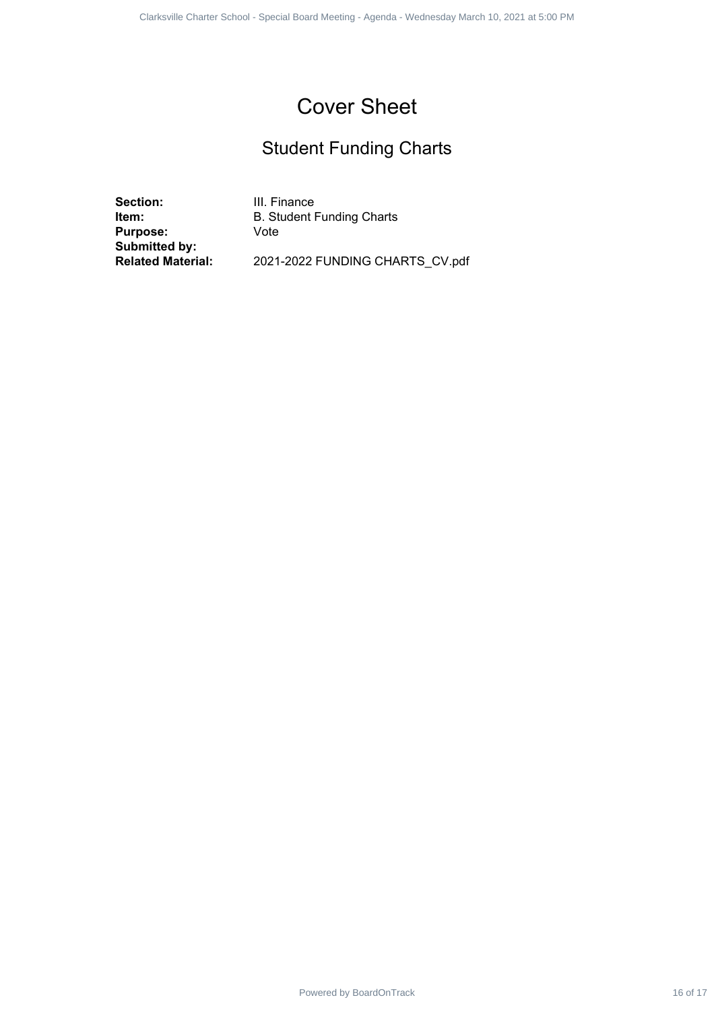## Student Funding Charts

**Section:** III. Finance<br>**Item:** B. Student I **Purpose:** Vote **Submitted by:**

**B. Student Funding Charts** Power Former for all - Epison Found Meeting - Agenda - Wednesday March 17 1 1 2021 - Special Studient Funding Charter School - Special Board Meeting - March 10, 2021 at 5:00 PM<br>
Powered By PM<br>
- Special Board Meeting - 202

**Related Material:** 2021-2022 FUNDING CHARTS\_CV.pdf